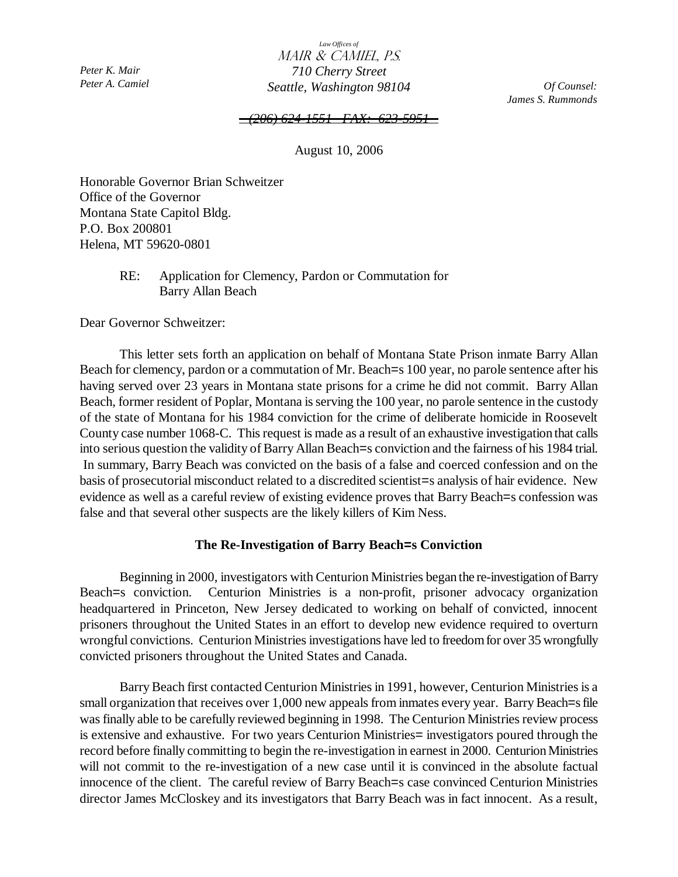*Peter K. Mair Peter A. Camiel* 

*Law Offices of*  Mair & Camiel, P.S.  *710 Cherry Street Seattle, Washington 98104* 

*Of Counsel: James S. Rummonds*

#### *(206) 624-1551 FAX: 623-59*

August 10, 2006

Honorable Governor Brian Schweitzer Office of the Governor Montana State Capitol Bldg. P.O. Box 200801 Helena, MT 59620-0801

## RE: Application for Clemency, Pardon or Commutation for Barry Allan Beach

Dear Governor Schweitzer:

This letter sets forth an application on behalf of Montana State Prison inmate Barry Allan Beach for clemency, pardon or a commutation of Mr. Beach=s 100 year, no parole sentence after his having served over 23 years in Montana state prisons for a crime he did not commit. Barry Allan Beach, former resident of Poplar, Montana is serving the 100 year, no parole sentence in the custody of the state of Montana for his 1984 conviction for the crime of deliberate homicide in Roosevelt County case number 1068-C. This request is made as a result of an exhaustive investigation that calls into serious question the validity of Barry Allan Beach=s conviction and the fairness of his 1984 trial. In summary, Barry Beach was convicted on the basis of a false and coerced confession and on the basis of prosecutorial misconduct related to a discredited scientist=s analysis of hair evidence. New evidence as well as a careful review of existing evidence proves that Barry Beach=s confession was false and that several other suspects are the likely killers of Kim Ness.

## **The Re-Investigation of Barry Beach=s Conviction**

Beginning in 2000, investigators with Centurion Ministries began the re-investigation of Barry Beach=s conviction. Centurion Ministries is a non-profit, prisoner advocacy organization headquartered in Princeton, New Jersey dedicated to working on behalf of convicted, innocent prisoners throughout the United States in an effort to develop new evidence required to overturn wrongful convictions. Centurion Ministries investigations have led to freedom for over 35 wrongfully convicted prisoners throughout the United States and Canada.

Barry Beach first contacted Centurion Ministries in 1991, however, Centurion Ministries is a small organization that receives over 1,000 new appeals from inmates every year. Barry Beach=s file was finally able to be carefully reviewed beginning in 1998. The Centurion Ministries review process is extensive and exhaustive. For two years Centurion Ministries= investigators poured through the record before finally committing to begin the re-investigation in earnest in 2000. Centurion Ministries will not commit to the re-investigation of a new case until it is convinced in the absolute factual innocence of the client. The careful review of Barry Beach=s case convinced Centurion Ministries director James McCloskey and its investigators that Barry Beach was in fact innocent. As a result,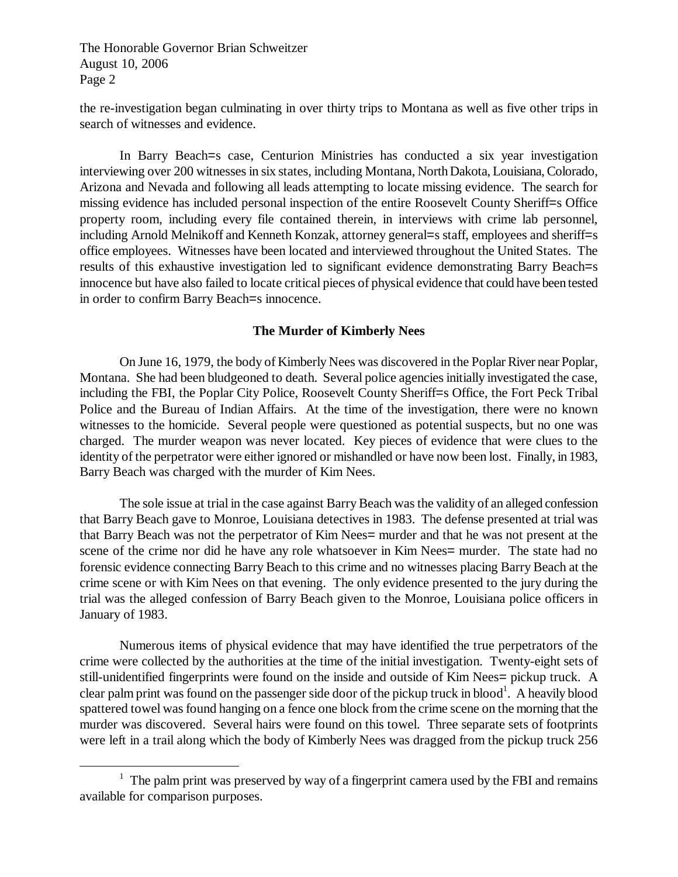<u>.</u>

the re-investigation began culminating in over thirty trips to Montana as well as five other trips in search of witnesses and evidence.

In Barry Beach=s case, Centurion Ministries has conducted a six year investigation interviewing over 200 witnesses in six states, including Montana, North Dakota, Louisiana, Colorado, Arizona and Nevada and following all leads attempting to locate missing evidence. The search for missing evidence has included personal inspection of the entire Roosevelt County Sheriff=s Office property room, including every file contained therein, in interviews with crime lab personnel, including Arnold Melnikoff and Kenneth Konzak, attorney general=s staff, employees and sheriff=s office employees. Witnesses have been located and interviewed throughout the United States. The results of this exhaustive investigation led to significant evidence demonstrating Barry Beach=s innocence but have also failed to locate critical pieces of physical evidence that could have been tested in order to confirm Barry Beach=s innocence.

#### **The Murder of Kimberly Nees**

On June 16, 1979, the body of Kimberly Nees was discovered in the Poplar River near Poplar, Montana. She had been bludgeoned to death. Several police agencies initially investigated the case, including the FBI, the Poplar City Police, Roosevelt County Sheriff=s Office, the Fort Peck Tribal Police and the Bureau of Indian Affairs. At the time of the investigation, there were no known witnesses to the homicide. Several people were questioned as potential suspects, but no one was charged. The murder weapon was never located. Key pieces of evidence that were clues to the identity of the perpetrator were either ignored or mishandled or have now been lost. Finally, in 1983, Barry Beach was charged with the murder of Kim Nees.

The sole issue at trial in the case against Barry Beach was the validity of an alleged confession that Barry Beach gave to Monroe, Louisiana detectives in 1983. The defense presented at trial was that Barry Beach was not the perpetrator of Kim Nees= murder and that he was not present at the scene of the crime nor did he have any role whatsoever in Kim Nees= murder. The state had no forensic evidence connecting Barry Beach to this crime and no witnesses placing Barry Beach at the crime scene or with Kim Nees on that evening. The only evidence presented to the jury during the trial was the alleged confession of Barry Beach given to the Monroe, Louisiana police officers in January of 1983.

Numerous items of physical evidence that may have identified the true perpetrators of the crime were collected by the authorities at the time of the initial investigation. Twenty-eight sets of still-unidentified fingerprints were found on the inside and outside of Kim Nees= pickup truck. A clear palm print was found on the passenger side door of the pickup truck in blood<sup>1</sup>. A heavily blood spattered towel was found hanging on a fence one block from the crime scene on the morning that the murder was discovered. Several hairs were found on this towel. Three separate sets of footprints were left in a trail along which the body of Kimberly Nees was dragged from the pickup truck 256

 $1$  The palm print was preserved by way of a fingerprint camera used by the FBI and remains available for comparison purposes.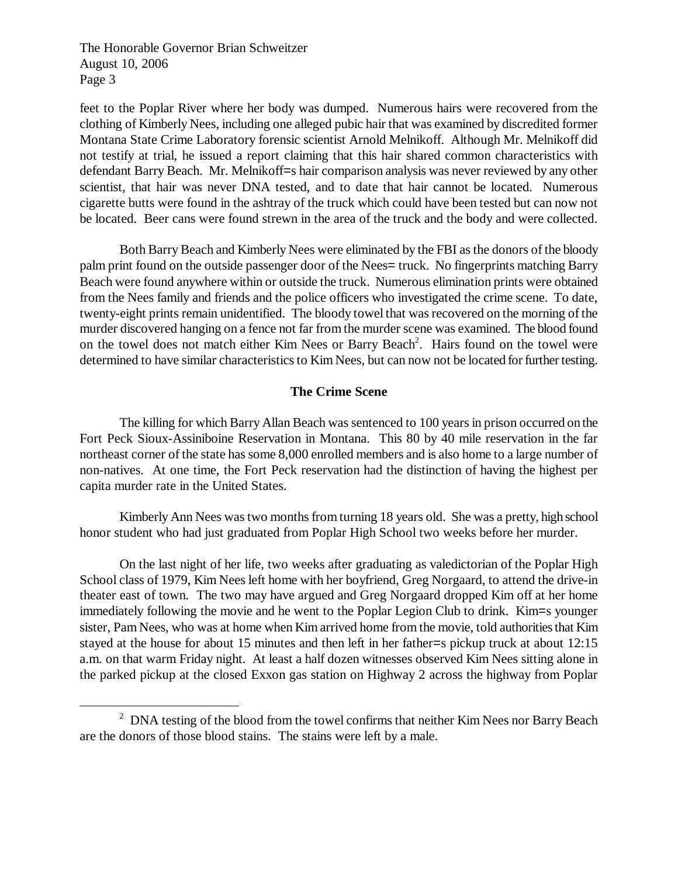<u>.</u>

feet to the Poplar River where her body was dumped. Numerous hairs were recovered from the clothing of Kimberly Nees, including one alleged pubic hair that was examined by discredited former Montana State Crime Laboratory forensic scientist Arnold Melnikoff. Although Mr. Melnikoff did not testify at trial, he issued a report claiming that this hair shared common characteristics with defendant Barry Beach. Mr. Melnikoff=s hair comparison analysis was never reviewed by any other scientist, that hair was never DNA tested, and to date that hair cannot be located. Numerous cigarette butts were found in the ashtray of the truck which could have been tested but can now not be located. Beer cans were found strewn in the area of the truck and the body and were collected.

Both Barry Beach and Kimberly Nees were eliminated by the FBI as the donors of the bloody palm print found on the outside passenger door of the Nees= truck. No fingerprints matching Barry Beach were found anywhere within or outside the truck. Numerous elimination prints were obtained from the Nees family and friends and the police officers who investigated the crime scene. To date, twenty-eight prints remain unidentified. The bloody towel that was recovered on the morning of the murder discovered hanging on a fence not far from the murder scene was examined. The blood found on the towel does not match either Kim Nees or Barry Beach<sup>2</sup>. Hairs found on the towel were determined to have similar characteristics to Kim Nees, but can now not be located for further testing.

## **The Crime Scene**

The killing for which Barry Allan Beach was sentenced to 100 years in prison occurred on the Fort Peck Sioux-Assiniboine Reservation in Montana. This 80 by 40 mile reservation in the far northeast corner of the state has some 8,000 enrolled members and is also home to a large number of non-natives. At one time, the Fort Peck reservation had the distinction of having the highest per capita murder rate in the United States.

Kimberly Ann Nees was two months from turning 18 years old. She was a pretty, high school honor student who had just graduated from Poplar High School two weeks before her murder.

On the last night of her life, two weeks after graduating as valedictorian of the Poplar High School class of 1979, Kim Nees left home with her boyfriend, Greg Norgaard, to attend the drive-in theater east of town. The two may have argued and Greg Norgaard dropped Kim off at her home immediately following the movie and he went to the Poplar Legion Club to drink. Kim=s younger sister, Pam Nees, who was at home when Kim arrived home from the movie, told authorities that Kim stayed at the house for about 15 minutes and then left in her father=s pickup truck at about 12:15 a.m. on that warm Friday night. At least a half dozen witnesses observed Kim Nees sitting alone in the parked pickup at the closed Exxon gas station on Highway 2 across the highway from Poplar

 $2$  DNA testing of the blood from the towel confirms that neither Kim Nees nor Barry Beach are the donors of those blood stains. The stains were left by a male.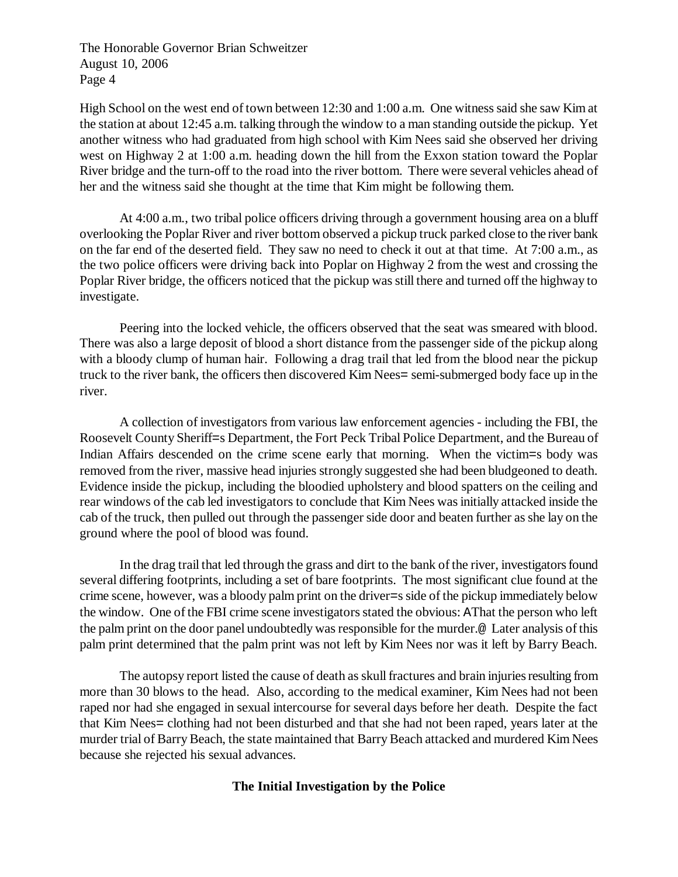High School on the west end of town between 12:30 and 1:00 a.m. One witness said she saw Kim at the station at about 12:45 a.m. talking through the window to a man standing outside the pickup. Yet another witness who had graduated from high school with Kim Nees said she observed her driving west on Highway 2 at 1:00 a.m. heading down the hill from the Exxon station toward the Poplar River bridge and the turn-off to the road into the river bottom. There were several vehicles ahead of her and the witness said she thought at the time that Kim might be following them.

At 4:00 a.m., two tribal police officers driving through a government housing area on a bluff overlooking the Poplar River and river bottom observed a pickup truck parked close to the river bank on the far end of the deserted field. They saw no need to check it out at that time. At 7:00 a.m., as the two police officers were driving back into Poplar on Highway 2 from the west and crossing the Poplar River bridge, the officers noticed that the pickup was still there and turned off the highway to investigate.

Peering into the locked vehicle, the officers observed that the seat was smeared with blood. There was also a large deposit of blood a short distance from the passenger side of the pickup along with a bloody clump of human hair. Following a drag trail that led from the blood near the pickup truck to the river bank, the officers then discovered Kim Nees= semi-submerged body face up in the river.

A collection of investigators from various law enforcement agencies - including the FBI, the Roosevelt County Sheriff=s Department, the Fort Peck Tribal Police Department, and the Bureau of Indian Affairs descended on the crime scene early that morning. When the victim=s body was removed from the river, massive head injuries strongly suggested she had been bludgeoned to death. Evidence inside the pickup, including the bloodied upholstery and blood spatters on the ceiling and rear windows of the cab led investigators to conclude that Kim Nees was initially attacked inside the cab of the truck, then pulled out through the passenger side door and beaten further as she lay on the ground where the pool of blood was found.

In the drag trail that led through the grass and dirt to the bank of the river, investigators found several differing footprints, including a set of bare footprints. The most significant clue found at the crime scene, however, was a bloody palm print on the driver=s side of the pickup immediately below the window. One of the FBI crime scene investigators stated the obvious: AThat the person who left the palm print on the door panel undoubtedly was responsible for the murder.@ Later analysis of this palm print determined that the palm print was not left by Kim Nees nor was it left by Barry Beach.

The autopsy report listed the cause of death as skull fractures and brain injuries resulting from more than 30 blows to the head. Also, according to the medical examiner, Kim Nees had not been raped nor had she engaged in sexual intercourse for several days before her death. Despite the fact that Kim Nees= clothing had not been disturbed and that she had not been raped, years later at the murder trial of Barry Beach, the state maintained that Barry Beach attacked and murdered Kim Nees because she rejected his sexual advances.

# **The Initial Investigation by the Police**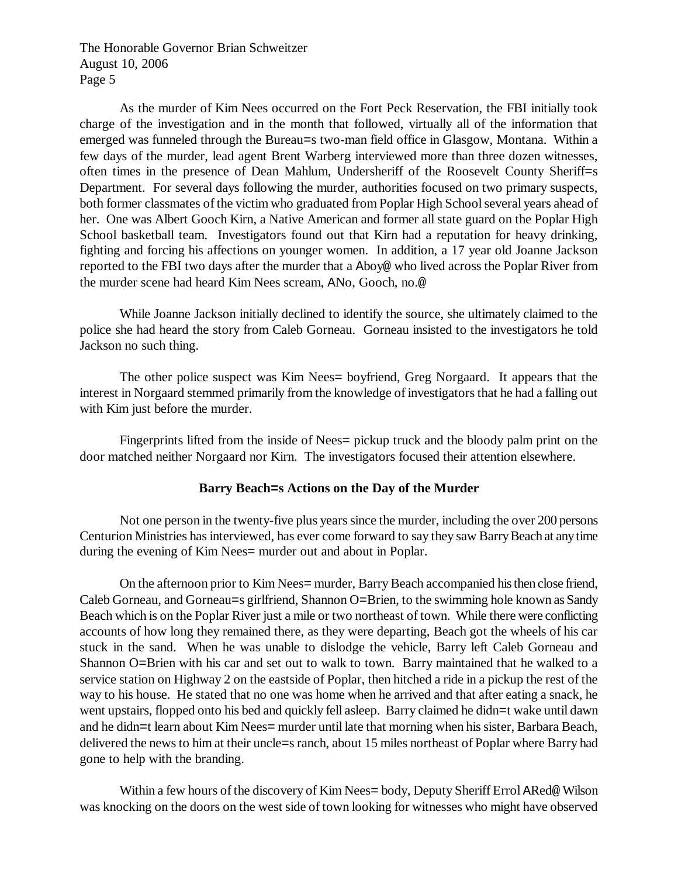As the murder of Kim Nees occurred on the Fort Peck Reservation, the FBI initially took charge of the investigation and in the month that followed, virtually all of the information that emerged was funneled through the Bureau=s two-man field office in Glasgow, Montana. Within a few days of the murder, lead agent Brent Warberg interviewed more than three dozen witnesses, often times in the presence of Dean Mahlum, Undersheriff of the Roosevelt County Sheriff=s Department. For several days following the murder, authorities focused on two primary suspects, both former classmates of the victim who graduated from Poplar High School several years ahead of her. One was Albert Gooch Kirn, a Native American and former all state guard on the Poplar High School basketball team. Investigators found out that Kirn had a reputation for heavy drinking, fighting and forcing his affections on younger women. In addition, a 17 year old Joanne Jackson reported to the FBI two days after the murder that a Aboy@ who lived across the Poplar River from the murder scene had heard Kim Nees scream, ANo, Gooch, no.@

While Joanne Jackson initially declined to identify the source, she ultimately claimed to the police she had heard the story from Caleb Gorneau. Gorneau insisted to the investigators he told Jackson no such thing.

The other police suspect was Kim Nees= boyfriend, Greg Norgaard. It appears that the interest in Norgaard stemmed primarily from the knowledge of investigators that he had a falling out with Kim just before the murder.

Fingerprints lifted from the inside of Nees= pickup truck and the bloody palm print on the door matched neither Norgaard nor Kirn. The investigators focused their attention elsewhere.

# **Barry Beach=s Actions on the Day of the Murder**

Not one person in the twenty-five plus years since the murder, including the over 200 persons Centurion Ministries has interviewed, has ever come forward to say they saw Barry Beach at any time during the evening of Kim Nees= murder out and about in Poplar.

On the afternoon prior to Kim Nees= murder, Barry Beach accompanied his then close friend, Caleb Gorneau, and Gorneau=s girlfriend, Shannon O=Brien, to the swimming hole known as Sandy Beach which is on the Poplar River just a mile or two northeast of town. While there were conflicting accounts of how long they remained there, as they were departing, Beach got the wheels of his car stuck in the sand. When he was unable to dislodge the vehicle, Barry left Caleb Gorneau and Shannon O=Brien with his car and set out to walk to town. Barry maintained that he walked to a service station on Highway 2 on the eastside of Poplar, then hitched a ride in a pickup the rest of the way to his house. He stated that no one was home when he arrived and that after eating a snack, he went upstairs, flopped onto his bed and quickly fell asleep. Barry claimed he didn=t wake until dawn and he didn=t learn about Kim Nees= murder until late that morning when his sister, Barbara Beach, delivered the news to him at their uncle=s ranch, about 15 miles northeast of Poplar where Barry had gone to help with the branding.

Within a few hours of the discovery of Kim Nees= body, Deputy Sheriff Errol ARed@ Wilson was knocking on the doors on the west side of town looking for witnesses who might have observed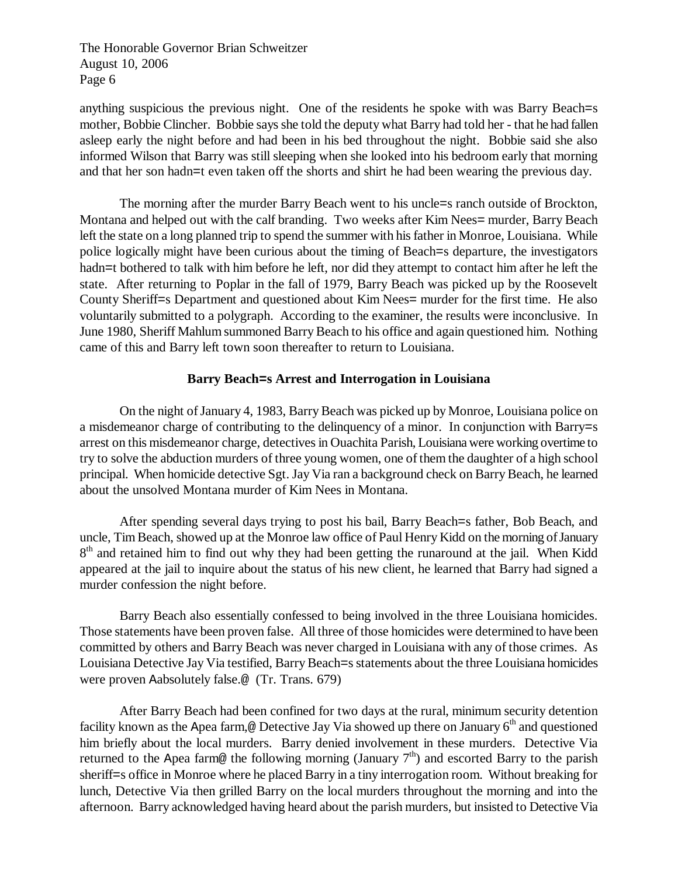anything suspicious the previous night. One of the residents he spoke with was Barry Beach=s mother, Bobbie Clincher. Bobbie says she told the deputy what Barry had told her - that he had fallen asleep early the night before and had been in his bed throughout the night. Bobbie said she also informed Wilson that Barry was still sleeping when she looked into his bedroom early that morning and that her son hadn=t even taken off the shorts and shirt he had been wearing the previous day.

The morning after the murder Barry Beach went to his uncle=s ranch outside of Brockton, Montana and helped out with the calf branding. Two weeks after Kim Nees= murder, Barry Beach left the state on a long planned trip to spend the summer with his father in Monroe, Louisiana. While police logically might have been curious about the timing of Beach=s departure, the investigators hadn=t bothered to talk with him before he left, nor did they attempt to contact him after he left the state. After returning to Poplar in the fall of 1979, Barry Beach was picked up by the Roosevelt County Sheriff=s Department and questioned about Kim Nees= murder for the first time. He also voluntarily submitted to a polygraph. According to the examiner, the results were inconclusive. In June 1980, Sheriff Mahlum summoned Barry Beach to his office and again questioned him. Nothing came of this and Barry left town soon thereafter to return to Louisiana.

## **Barry Beach=s Arrest and Interrogation in Louisiana**

On the night of January 4, 1983, Barry Beach was picked up by Monroe, Louisiana police on a misdemeanor charge of contributing to the delinquency of a minor. In conjunction with Barry=s arrest on this misdemeanor charge, detectives in Ouachita Parish, Louisiana were working overtime to try to solve the abduction murders of three young women, one of them the daughter of a high school principal. When homicide detective Sgt. Jay Via ran a background check on Barry Beach, he learned about the unsolved Montana murder of Kim Nees in Montana.

After spending several days trying to post his bail, Barry Beach sfather, Bob Beach, and uncle, Tim Beach, showed up at the Monroe law office of Paul Henry Kidd on the morning of January 8<sup>th</sup> and retained him to find out why they had been getting the runaround at the jail. When Kidd appeared at the jail to inquire about the status of his new client, he learned that Barry had signed a murder confession the night before.

Barry Beach also essentially confessed to being involved in the three Louisiana homicides. Those statements have been proven false. All three of those homicides were determined to have been committed by others and Barry Beach was never charged in Louisiana with any of those crimes. As Louisiana Detective Jay Via testified, Barry Beach=s statements about the three Louisiana homicides were proven Aabsolutely false.@ (Tr. Trans. 679)

After Barry Beach had been confined for two days at the rural, minimum security detention facility known as the Apea farm,@ Detective Jay Via showed up there on January  $6<sup>th</sup>$  and questioned him briefly about the local murders. Barry denied involvement in these murders. Detective Via returned to the Apea farm@ the following morning (January  $7<sup>th</sup>$ ) and escorted Barry to the parish sheriff=s office in Monroe where he placed Barry in a tiny interrogation room. Without breaking for lunch, Detective Via then grilled Barry on the local murders throughout the morning and into the afternoon. Barry acknowledged having heard about the parish murders, but insisted to Detective Via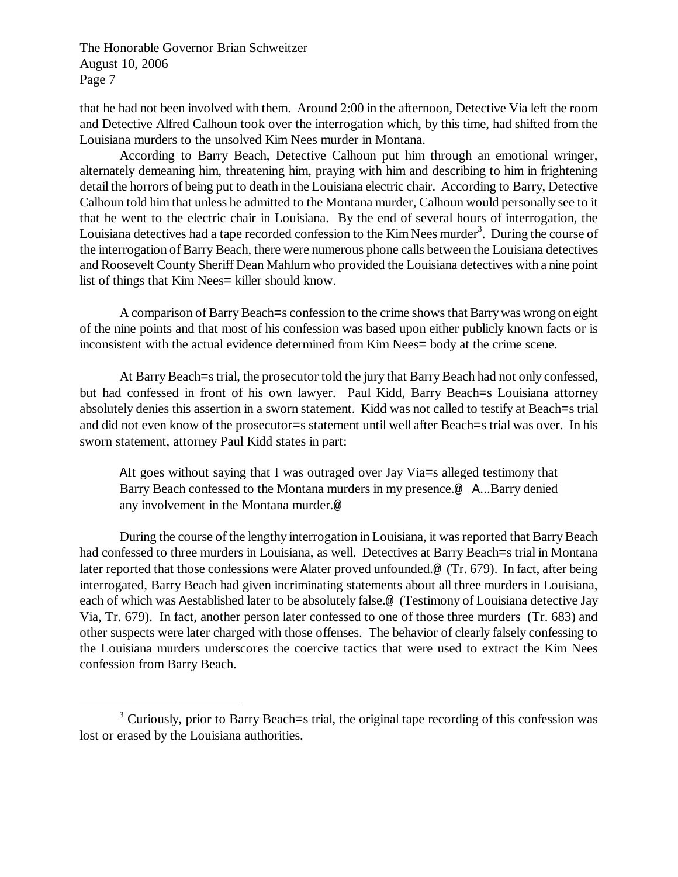-

that he had not been involved with them. Around 2:00 in the afternoon, Detective Via left the room and Detective Alfred Calhoun took over the interrogation which, by this time, had shifted from the Louisiana murders to the unsolved Kim Nees murder in Montana.

According to Barry Beach, Detective Calhoun put him through an emotional wringer, alternately demeaning him, threatening him, praying with him and describing to him in frightening detail the horrors of being put to death in the Louisiana electric chair. According to Barry, Detective Calhoun told him that unless he admitted to the Montana murder, Calhoun would personally see to it that he went to the electric chair in Louisiana. By the end of several hours of interrogation, the Louisiana detectives had a tape recorded confession to the Kim Nees murder<sup>3</sup>. During the course of the interrogation of Barry Beach, there were numerous phone calls between the Louisiana detectives and Roosevelt County Sheriff Dean Mahlum who provided the Louisiana detectives with a nine point list of things that Kim Nees= killer should know.

A comparison of Barry Beach=s confession to the crime shows that Barry was wrong on eight of the nine points and that most of his confession was based upon either publicly known facts or is inconsistent with the actual evidence determined from Kim Nees= body at the crime scene.

At Barry Beach=s trial, the prosecutor told the jury that Barry Beach had not only confessed, but had confessed in front of his own lawyer. Paul Kidd, Barry Beach=s Louisiana attorney absolutely denies this assertion in a sworn statement. Kidd was not called to testify at Beach=s trial and did not even know of the prosecutor=s statement until well after Beach=s trial was over. In his sworn statement, attorney Paul Kidd states in part:

AIt goes without saying that I was outraged over Jay Via=s alleged testimony that Barry Beach confessed to the Montana murders in my presence.@ A...Barry denied any involvement in the Montana murder.@

During the course of the lengthy interrogation in Louisiana, it was reported that Barry Beach had confessed to three murders in Louisiana, as well. Detectives at Barry Beach=s trial in Montana later reported that those confessions were Alater proved unfounded.@ (Tr. 679). In fact, after being interrogated, Barry Beach had given incriminating statements about all three murders in Louisiana, each of which was Aestablished later to be absolutely false.@ (Testimony of Louisiana detective Jay Via, Tr. 679). In fact, another person later confessed to one of those three murders (Tr. 683) and other suspects were later charged with those offenses. The behavior of clearly falsely confessing to the Louisiana murders underscores the coercive tactics that were used to extract the Kim Nees confession from Barry Beach.

<sup>&</sup>lt;sup>3</sup> Curiously, prior to Barry Beach=s trial, the original tape recording of this confession was lost or erased by the Louisiana authorities.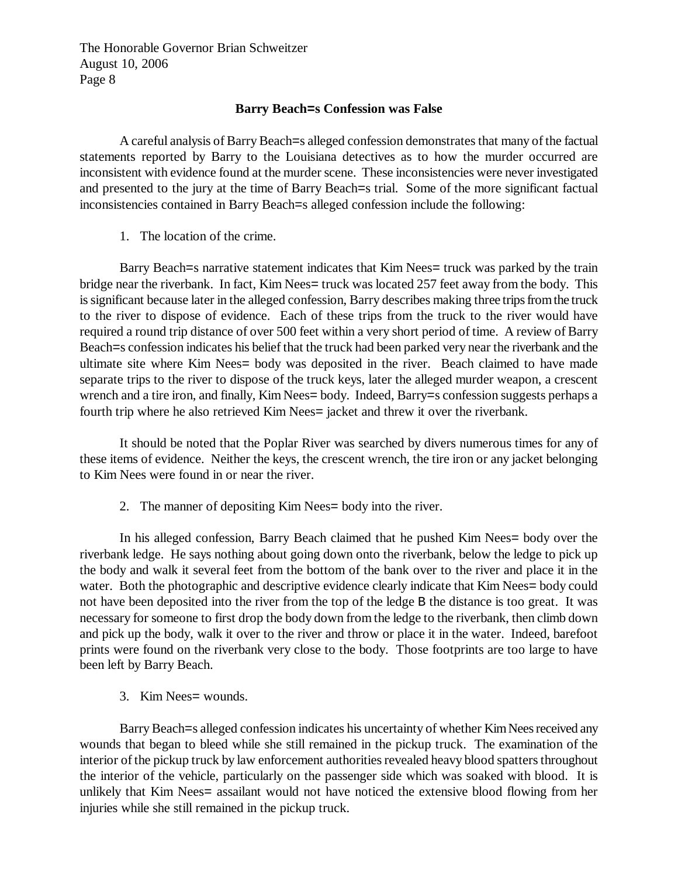## **Barry Beach=s Confession was False**

A careful analysis of Barry Beach=s alleged confession demonstrates that many of the factual statements reported by Barry to the Louisiana detectives as to how the murder occurred are inconsistent with evidence found at the murder scene. These inconsistencies were never investigated and presented to the jury at the time of Barry Beach=s trial. Some of the more significant factual inconsistencies contained in Barry Beach=s alleged confession include the following:

1. The location of the crime.

Barry Beach=s narrative statement indicates that Kim Nees= truck was parked by the train bridge near the riverbank. In fact, Kim Nees= truck was located 257 feet away from the body. This is significant because later in the alleged confession, Barry describes making three trips from the truck to the river to dispose of evidence. Each of these trips from the truck to the river would have required a round trip distance of over 500 feet within a very short period of time. A review of Barry Beach=s confession indicates his belief that the truck had been parked very near the riverbank and the ultimate site where Kim Nees= body was deposited in the river. Beach claimed to have made separate trips to the river to dispose of the truck keys, later the alleged murder weapon, a crescent wrench and a tire iron, and finally, Kim Nees= body. Indeed, Barry=s confession suggests perhaps a fourth trip where he also retrieved Kim Nees= jacket and threw it over the riverbank.

It should be noted that the Poplar River was searched by divers numerous times for any of these items of evidence. Neither the keys, the crescent wrench, the tire iron or any jacket belonging to Kim Nees were found in or near the river.

2. The manner of depositing Kim Nees= body into the river.

In his alleged confession, Barry Beach claimed that he pushed Kim Nees= body over the riverbank ledge. He says nothing about going down onto the riverbank, below the ledge to pick up the body and walk it several feet from the bottom of the bank over to the river and place it in the water. Both the photographic and descriptive evidence clearly indicate that Kim Nees= body could not have been deposited into the river from the top of the ledge B the distance is too great. It was necessary for someone to first drop the body down from the ledge to the riverbank, then climb down and pick up the body, walk it over to the river and throw or place it in the water. Indeed, barefoot prints were found on the riverbank very close to the body. Those footprints are too large to have been left by Barry Beach.

3. Kim Nees= wounds.

Barry Beach=s alleged confession indicates his uncertainty of whether Kim Nees received any wounds that began to bleed while she still remained in the pickup truck. The examination of the interior of the pickup truck by law enforcement authorities revealed heavy blood spatters throughout the interior of the vehicle, particularly on the passenger side which was soaked with blood. It is unlikely that Kim Nees= assailant would not have noticed the extensive blood flowing from her injuries while she still remained in the pickup truck.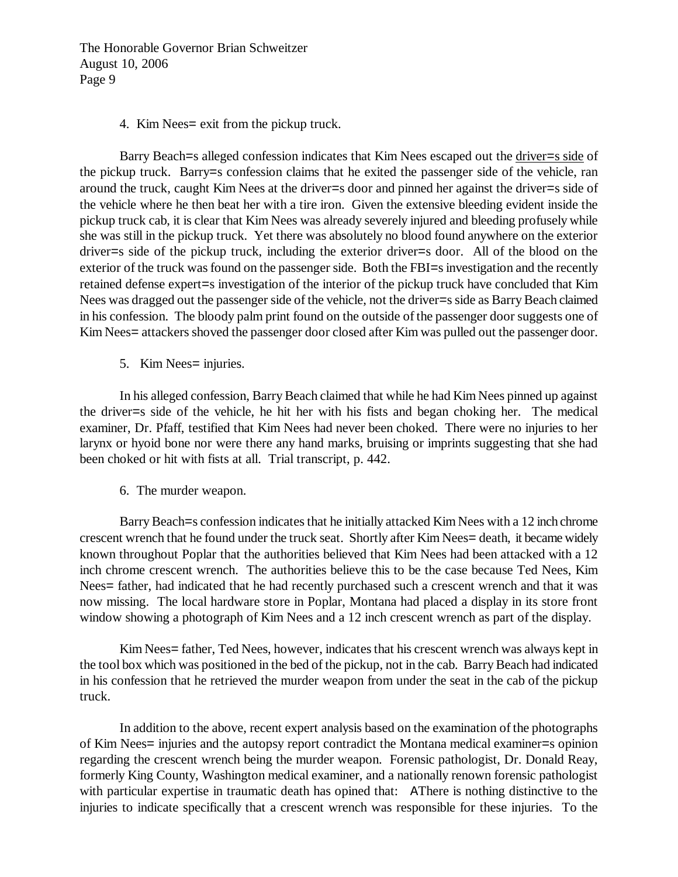#### 4. Kim Nees= exit from the pickup truck.

Barry Beach=s alleged confession indicates that Kim Nees escaped out the driver=s side of the pickup truck. Barry=s confession claims that he exited the passenger side of the vehicle, ran around the truck, caught Kim Nees at the driver=s door and pinned her against the driver=s side of the vehicle where he then beat her with a tire iron. Given the extensive bleeding evident inside the pickup truck cab, it is clear that Kim Nees was already severely injured and bleeding profusely while she was still in the pickup truck. Yet there was absolutely no blood found anywhere on the exterior driver=s side of the pickup truck, including the exterior driver=s door. All of the blood on the exterior of the truck was found on the passenger side. Both the FBI=s investigation and the recently retained defense expert=s investigation of the interior of the pickup truck have concluded that Kim Nees was dragged out the passenger side of the vehicle, not the driver=s side as Barry Beach claimed in his confession. The bloody palm print found on the outside of the passenger door suggests one of Kim Nees= attackers shoved the passenger door closed after Kim was pulled out the passenger door.

5. Kim Nees= injuries.

In his alleged confession, Barry Beach claimed that while he had Kim Nees pinned up against the driver=s side of the vehicle, he hit her with his fists and began choking her. The medical examiner, Dr. Pfaff, testified that Kim Nees had never been choked. There were no injuries to her larynx or hyoid bone nor were there any hand marks, bruising or imprints suggesting that she had been choked or hit with fists at all. Trial transcript, p. 442.

6. The murder weapon.

Barry Beach=s confession indicates that he initially attacked Kim Nees with a 12 inch chrome crescent wrench that he found under the truck seat. Shortly after Kim Nees= death, it became widely known throughout Poplar that the authorities believed that Kim Nees had been attacked with a 12 inch chrome crescent wrench. The authorities believe this to be the case because Ted Nees, Kim Nees= father, had indicated that he had recently purchased such a crescent wrench and that it was now missing. The local hardware store in Poplar, Montana had placed a display in its store front window showing a photograph of Kim Nees and a 12 inch crescent wrench as part of the display.

Kim Nees= father, Ted Nees, however, indicates that his crescent wrench was always kept in the tool box which was positioned in the bed of the pickup, not in the cab. Barry Beach had indicated in his confession that he retrieved the murder weapon from under the seat in the cab of the pickup truck.

In addition to the above, recent expert analysis based on the examination of the photographs of Kim Nees= injuries and the autopsy report contradict the Montana medical examiner=s opinion regarding the crescent wrench being the murder weapon. Forensic pathologist, Dr. Donald Reay, formerly King County, Washington medical examiner, and a nationally renown forensic pathologist with particular expertise in traumatic death has opined that: AThere is nothing distinctive to the injuries to indicate specifically that a crescent wrench was responsible for these injuries. To the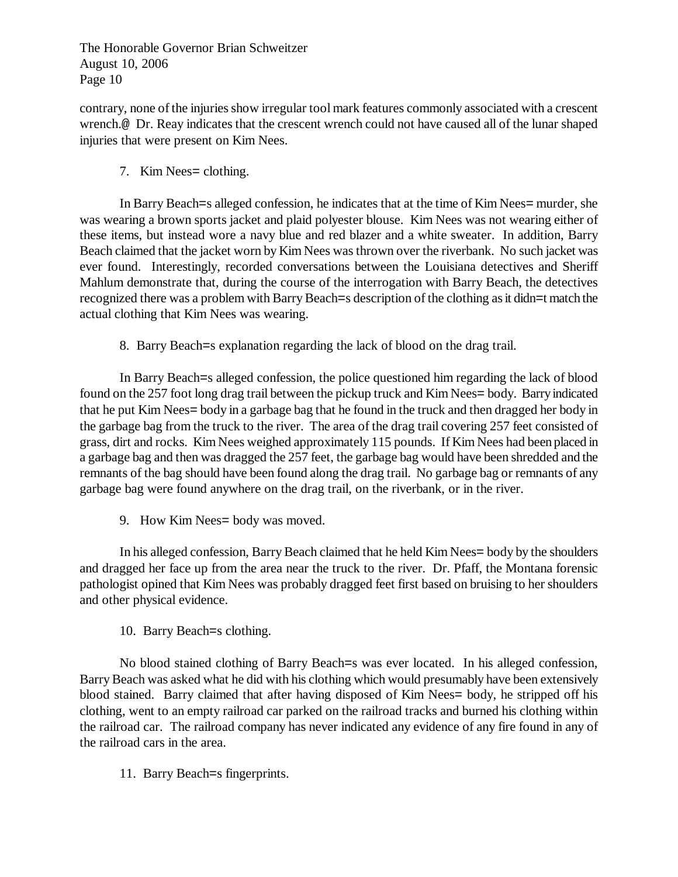contrary, none of the injuries show irregular tool mark features commonly associated with a crescent wrench.@ Dr. Reay indicates that the crescent wrench could not have caused all of the lunar shaped injuries that were present on Kim Nees.

7. Kim Nees= clothing.

In Barry Beach=s alleged confession, he indicates that at the time of Kim Nees= murder, she was wearing a brown sports jacket and plaid polyester blouse. Kim Nees was not wearing either of these items, but instead wore a navy blue and red blazer and a white sweater. In addition, Barry Beach claimed that the jacket worn by Kim Nees was thrown over the riverbank. No such jacket was ever found. Interestingly, recorded conversations between the Louisiana detectives and Sheriff Mahlum demonstrate that, during the course of the interrogation with Barry Beach, the detectives recognized there was a problem with Barry Beach=s description of the clothing as it didn=t match the actual clothing that Kim Nees was wearing.

8. Barry Beach=s explanation regarding the lack of blood on the drag trail.

In Barry Beach=s alleged confession, the police questioned him regarding the lack of blood found on the 257 foot long drag trail between the pickup truck and Kim Nees= body. Barry indicated that he put Kim Nees= body in a garbage bag that he found in the truck and then dragged her body in the garbage bag from the truck to the river. The area of the drag trail covering 257 feet consisted of grass, dirt and rocks. Kim Nees weighed approximately 115 pounds. If Kim Nees had been placed in a garbage bag and then was dragged the 257 feet, the garbage bag would have been shredded and the remnants of the bag should have been found along the drag trail. No garbage bag or remnants of any garbage bag were found anywhere on the drag trail, on the riverbank, or in the river.

9. How Kim Nees= body was moved.

In his alleged confession, Barry Beach claimed that he held Kim Nees= body by the shoulders and dragged her face up from the area near the truck to the river. Dr. Pfaff, the Montana forensic pathologist opined that Kim Nees was probably dragged feet first based on bruising to her shoulders and other physical evidence.

10. Barry Beach=s clothing.

No blood stained clothing of Barry Beach=s was ever located. In his alleged confession, Barry Beach was asked what he did with his clothing which would presumably have been extensively blood stained. Barry claimed that after having disposed of Kim Nees= body, he stripped off his clothing, went to an empty railroad car parked on the railroad tracks and burned his clothing within the railroad car. The railroad company has never indicated any evidence of any fire found in any of the railroad cars in the area.

11. Barry Beach=s fingerprints.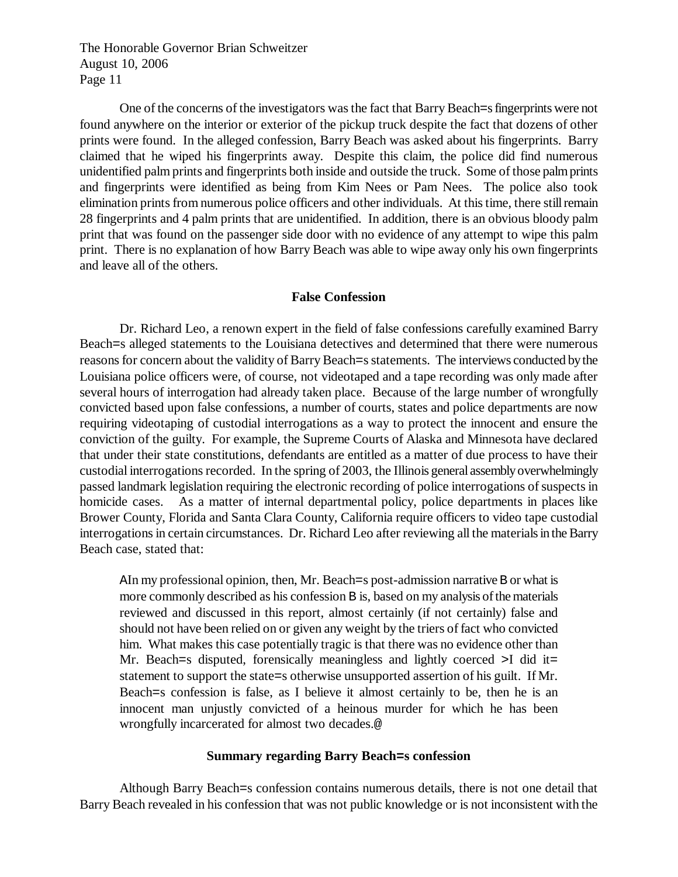One of the concerns of the investigators was the fact that Barry Beach=s fingerprints were not found anywhere on the interior or exterior of the pickup truck despite the fact that dozens of other prints were found. In the alleged confession, Barry Beach was asked about his fingerprints. Barry claimed that he wiped his fingerprints away. Despite this claim, the police did find numerous unidentified palm prints and fingerprints both inside and outside the truck. Some of those palm prints and fingerprints were identified as being from Kim Nees or Pam Nees. The police also took elimination prints from numerous police officers and other individuals. At this time, there still remain 28 fingerprints and 4 palm prints that are unidentified. In addition, there is an obvious bloody palm print that was found on the passenger side door with no evidence of any attempt to wipe this palm print. There is no explanation of how Barry Beach was able to wipe away only his own fingerprints and leave all of the others.

#### **False Confession**

Dr. Richard Leo, a renown expert in the field of false confessions carefully examined Barry Beach=s alleged statements to the Louisiana detectives and determined that there were numerous reasons for concern about the validity of Barry Beach=s statements. The interviews conducted by the Louisiana police officers were, of course, not videotaped and a tape recording was only made after several hours of interrogation had already taken place. Because of the large number of wrongfully convicted based upon false confessions, a number of courts, states and police departments are now requiring videotaping of custodial interrogations as a way to protect the innocent and ensure the conviction of the guilty. For example, the Supreme Courts of Alaska and Minnesota have declared that under their state constitutions, defendants are entitled as a matter of due process to have their custodial interrogations recorded. In the spring of 2003, the Illinois general assembly overwhelmingly passed landmark legislation requiring the electronic recording of police interrogations of suspects in homicide cases. As a matter of internal departmental policy, police departments in places like Brower County, Florida and Santa Clara County, California require officers to video tape custodial interrogations in certain circumstances. Dr. Richard Leo after reviewing all the materials in the Barry Beach case, stated that:

AIn my professional opinion, then, Mr. Beach=s post-admission narrative B or what is more commonly described as his confession B is, based on my analysis of the materials reviewed and discussed in this report, almost certainly (if not certainly) false and should not have been relied on or given any weight by the triers of fact who convicted him. What makes this case potentially tragic is that there was no evidence other than Mr. Beach=s disputed, forensically meaningless and lightly coerced >I did it= statement to support the state=s otherwise unsupported assertion of his guilt. If Mr. Beach=s confession is false, as I believe it almost certainly to be, then he is an innocent man unjustly convicted of a heinous murder for which he has been wrongfully incarcerated for almost two decades.@

## **Summary regarding Barry Beach=s confession**

Although Barry Beach=s confession contains numerous details, there is not one detail that Barry Beach revealed in his confession that was not public knowledge or is not inconsistent with the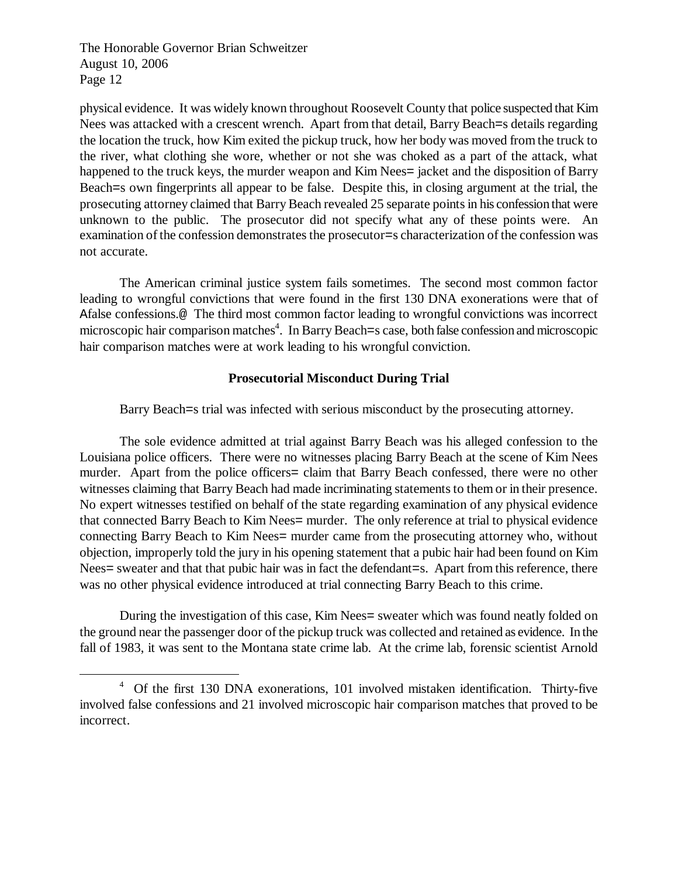-

physical evidence. It was widely known throughout Roosevelt County that police suspected that Kim Nees was attacked with a crescent wrench. Apart from that detail, Barry Beach=s details regarding the location the truck, how Kim exited the pickup truck, how her body was moved from the truck to the river, what clothing she wore, whether or not she was choked as a part of the attack, what happened to the truck keys, the murder weapon and Kim Nees= jacket and the disposition of Barry Beach=s own fingerprints all appear to be false. Despite this, in closing argument at the trial, the prosecuting attorney claimed that Barry Beach revealed 25 separate points in his confession that were unknown to the public. The prosecutor did not specify what any of these points were. An examination of the confession demonstrates the prosecutor=s characterization of the confession was not accurate.

The American criminal justice system fails sometimes. The second most common factor leading to wrongful convictions that were found in the first 130 DNA exonerations were that of Afalse confessions.@ The third most common factor leading to wrongful convictions was incorrect microscopic hair comparison matches<sup>4</sup>. In Barry Beach=s case, both false confession and microscopic hair comparison matches were at work leading to his wrongful conviction.

## **Prosecutorial Misconduct During Trial**

Barry Beach=s trial was infected with serious misconduct by the prosecuting attorney.

The sole evidence admitted at trial against Barry Beach was his alleged confession to the Louisiana police officers. There were no witnesses placing Barry Beach at the scene of Kim Nees murder. Apart from the police officers= claim that Barry Beach confessed, there were no other witnesses claiming that Barry Beach had made incriminating statements to them or in their presence. No expert witnesses testified on behalf of the state regarding examination of any physical evidence that connected Barry Beach to Kim Nees= murder. The only reference at trial to physical evidence connecting Barry Beach to Kim Nees= murder came from the prosecuting attorney who, without objection, improperly told the jury in his opening statement that a pubic hair had been found on Kim Nees= sweater and that that pubic hair was in fact the defendant=s. Apart from this reference, there was no other physical evidence introduced at trial connecting Barry Beach to this crime.

During the investigation of this case, Kim Nees= sweater which was found neatly folded on the ground near the passenger door of the pickup truck was collected and retained as evidence. In the fall of 1983, it was sent to the Montana state crime lab. At the crime lab, forensic scientist Arnold

<sup>&</sup>lt;sup>4</sup> Of the first 130 DNA exonerations, 101 involved mistaken identification. Thirty-five involved false confessions and 21 involved microscopic hair comparison matches that proved to be incorrect.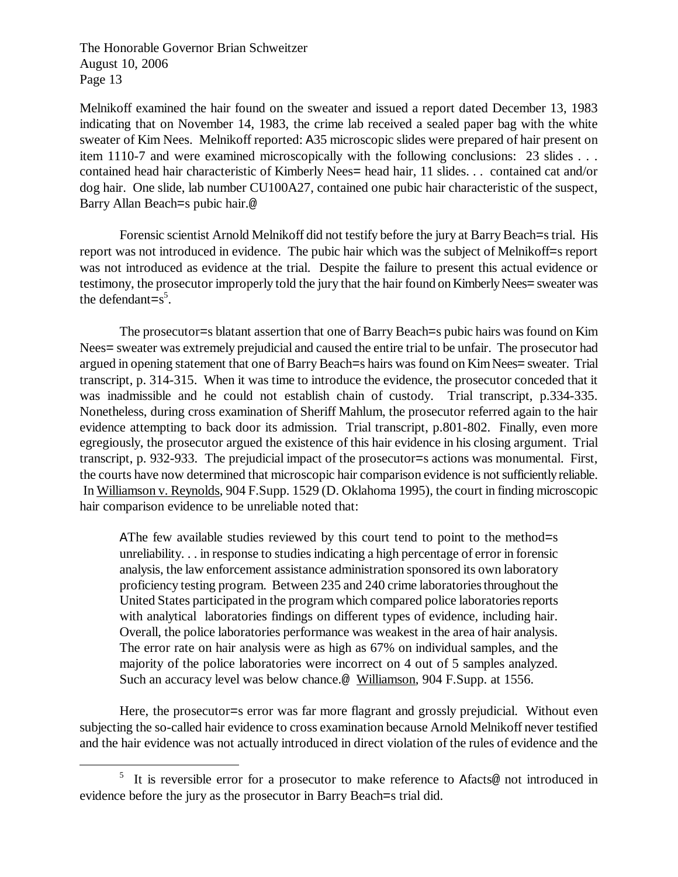<u>.</u>

Melnikoff examined the hair found on the sweater and issued a report dated December 13, 1983 indicating that on November 14, 1983, the crime lab received a sealed paper bag with the white sweater of Kim Nees. Melnikoff reported: A35 microscopic slides were prepared of hair present on item 1110-7 and were examined microscopically with the following conclusions: 23 slides . . . contained head hair characteristic of Kimberly Nees= head hair, 11 slides. . . contained cat and/or dog hair. One slide, lab number CU100A27, contained one pubic hair characteristic of the suspect, Barry Allan Beach=s pubic hair.@

Forensic scientist Arnold Melnikoff did not testify before the jury at Barry Beach=s trial. His report was not introduced in evidence. The pubic hair which was the subject of Melnikoff=s report was not introduced as evidence at the trial. Despite the failure to present this actual evidence or testimony, the prosecutor improperly told the jury that the hair found on Kimberly Nees= sweater was the defendant= $s^5$ .

The prosecutor=s blatant assertion that one of Barry Beach=s pubic hairs was found on Kim Nees= sweater was extremely prejudicial and caused the entire trial to be unfair. The prosecutor had argued in opening statement that one of Barry Beach=s hairs was found on Kim Nees= sweater. Trial transcript, p. 314-315. When it was time to introduce the evidence, the prosecutor conceded that it was inadmissible and he could not establish chain of custody. Trial transcript, p.334-335. Nonetheless, during cross examination of Sheriff Mahlum, the prosecutor referred again to the hair evidence attempting to back door its admission. Trial transcript, p.801-802. Finally, even more egregiously, the prosecutor argued the existence of this hair evidence in his closing argument. Trial transcript, p. 932-933. The prejudicial impact of the prosecutor=s actions was monumental. First, the courts have now determined that microscopic hair comparison evidence is not sufficiently reliable. In Williamson v. Reynolds, 904 F.Supp. 1529 (D. Oklahoma 1995), the court in finding microscopic hair comparison evidence to be unreliable noted that:

AThe few available studies reviewed by this court tend to point to the method=s unreliability. . . in response to studies indicating a high percentage of error in forensic analysis, the law enforcement assistance administration sponsored its own laboratory proficiency testing program. Between 235 and 240 crime laboratories throughout the United States participated in the program which compared police laboratories reports with analytical laboratories findings on different types of evidence, including hair. Overall, the police laboratories performance was weakest in the area of hair analysis. The error rate on hair analysis were as high as 67% on individual samples, and the majority of the police laboratories were incorrect on 4 out of 5 samples analyzed. Such an accuracy level was below chance.<sup>@</sup> Williamson, 904 F.Supp. at 1556.

Here, the prosecutor=s error was far more flagrant and grossly prejudicial. Without even subjecting the so-called hair evidence to cross examination because Arnold Melnikoff never testified and the hair evidence was not actually introduced in direct violation of the rules of evidence and the

<sup>&</sup>lt;sup>5</sup> It is reversible error for a prosecutor to make reference to Afacts@ not introduced in evidence before the jury as the prosecutor in Barry Beach=s trial did.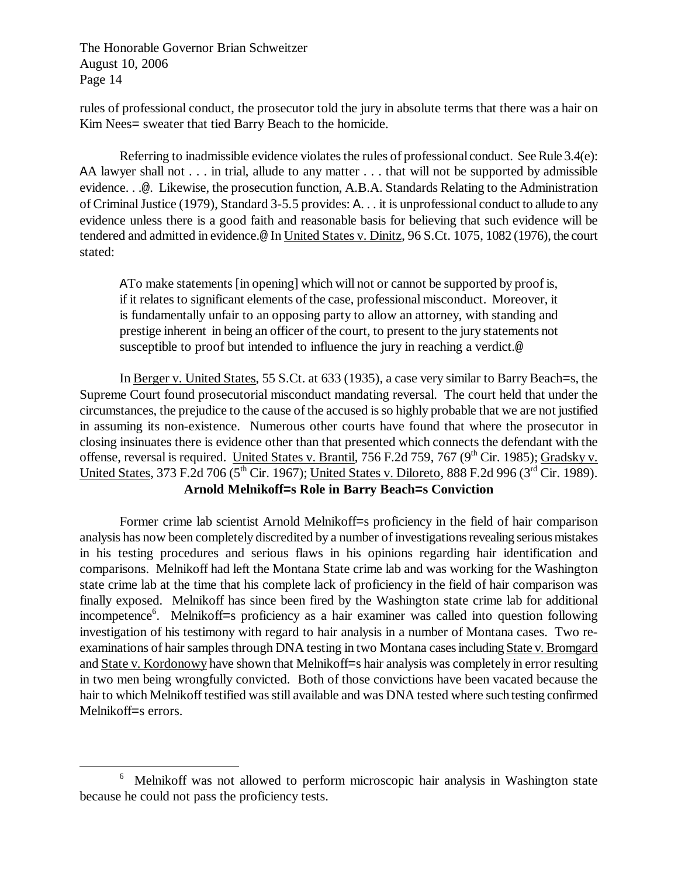<u>.</u>

rules of professional conduct, the prosecutor told the jury in absolute terms that there was a hair on Kim Nees= sweater that tied Barry Beach to the homicide.

Referring to inadmissible evidence violates the rules of professional conduct. See Rule 3.4(e): AA lawyer shall not . . . in trial, allude to any matter . . . that will not be supported by admissible evidence. . .@. Likewise, the prosecution function, A.B.A. Standards Relating to the Administration of Criminal Justice (1979), Standard 3-5.5 provides: A. . . it is unprofessional conduct to allude to any evidence unless there is a good faith and reasonable basis for believing that such evidence will be tendered and admitted in evidence.@ In United States v. Dinitz, 96 S.Ct. 1075, 1082 (1976), the court stated:

ATo make statements [in opening] which will not or cannot be supported by proof is, if it relates to significant elements of the case, professional misconduct. Moreover, it is fundamentally unfair to an opposing party to allow an attorney, with standing and prestige inherent in being an officer of the court, to present to the jury statements not susceptible to proof but intended to influence the jury in reaching a verdict.@

In Berger v. United States, 55 S.Ct. at 633 (1935), a case very similar to Barry Beach=s, the Supreme Court found prosecutorial misconduct mandating reversal. The court held that under the circumstances, the prejudice to the cause of the accused is so highly probable that we are not justified in assuming its non-existence. Numerous other courts have found that where the prosecutor in closing insinuates there is evidence other than that presented which connects the defendant with the offense, reversal is required. United States v. Brantil, 756 F.2d 759, 767 ( $9<sup>th</sup>$  Cir. 1985); Gradsky v. United States, 373 F.2d 706 (5<sup>th</sup> Cir. 1967); United States v. Diloreto, 888 F.2d 996 (3<sup>rd</sup> Cir. 1989). **Arnold Melnikoff=s Role in Barry Beach=s Conviction**

Former crime lab scientist Arnold Melnikoff=s proficiency in the field of hair comparison analysis has now been completely discredited by a number of investigations revealing serious mistakes in his testing procedures and serious flaws in his opinions regarding hair identification and comparisons. Melnikoff had left the Montana State crime lab and was working for the Washington state crime lab at the time that his complete lack of proficiency in the field of hair comparison was finally exposed. Melnikoff has since been fired by the Washington state crime lab for additional incompetence<sup>6</sup>. Melnikoff=s proficiency as a hair examiner was called into question following investigation of his testimony with regard to hair analysis in a number of Montana cases. Two reexaminations of hair samples through DNA testing in two Montana cases including State v. Bromgard and State v. Kordonowy have shown that Melnikoff=s hair analysis was completely in error resulting in two men being wrongfully convicted. Both of those convictions have been vacated because the hair to which Melnikoff testified was still available and was DNA tested where such testing confirmed Melnikoff=s errors.

<sup>6</sup> Melnikoff was not allowed to perform microscopic hair analysis in Washington state because he could not pass the proficiency tests.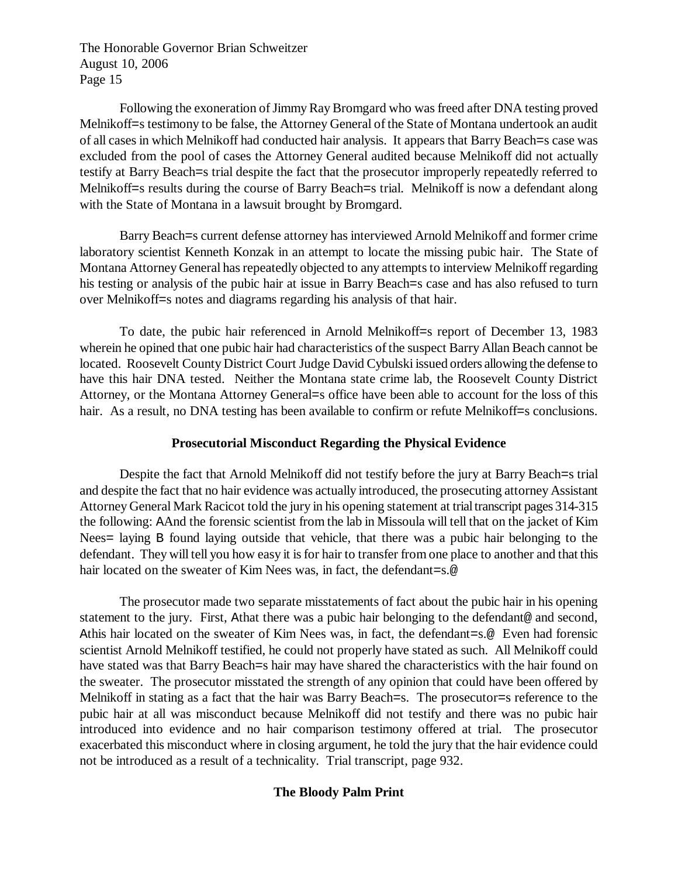Following the exoneration of Jimmy Ray Bromgard who was freed after DNA testing proved Melnikoff=s testimony to be false, the Attorney General of the State of Montana undertook an audit of all cases in which Melnikoff had conducted hair analysis. It appears that Barry Beach=s case was excluded from the pool of cases the Attorney General audited because Melnikoff did not actually testify at Barry Beach=s trial despite the fact that the prosecutor improperly repeatedly referred to Melnikoff=s results during the course of Barry Beach=s trial. Melnikoff is now a defendant along with the State of Montana in a lawsuit brought by Bromgard.

Barry Beach=s current defense attorney has interviewed Arnold Melnikoff and former crime laboratory scientist Kenneth Konzak in an attempt to locate the missing pubic hair. The State of Montana Attorney General has repeatedly objected to any attempts to interview Melnikoff regarding his testing or analysis of the pubic hair at issue in Barry Beach=s case and has also refused to turn over Melnikoff=s notes and diagrams regarding his analysis of that hair.

To date, the pubic hair referenced in Arnold Melnikoff=s report of December 13, 1983 wherein he opined that one pubic hair had characteristics of the suspect Barry Allan Beach cannot be located. Roosevelt County District Court Judge David Cybulski issued orders allowing the defense to have this hair DNA tested. Neither the Montana state crime lab, the Roosevelt County District Attorney, or the Montana Attorney General=s office have been able to account for the loss of this hair. As a result, no DNA testing has been available to confirm or refute Melnikoff=s conclusions.

## **Prosecutorial Misconduct Regarding the Physical Evidence**

Despite the fact that Arnold Melnikoff did not testify before the jury at Barry Beach=s trial and despite the fact that no hair evidence was actually introduced, the prosecuting attorney Assistant Attorney General Mark Racicot told the jury in his opening statement at trial transcript pages 314-315 the following: AAnd the forensic scientist from the lab in Missoula will tell that on the jacket of Kim Nees= laying B found laying outside that vehicle, that there was a pubic hair belonging to the defendant. They will tell you how easy it is for hair to transfer from one place to another and that this hair located on the sweater of Kim Nees was, in fact, the defendant=s.@

The prosecutor made two separate misstatements of fact about the pubic hair in his opening statement to the jury. First, Athat there was a pubic hair belonging to the defendant@ and second, Athis hair located on the sweater of Kim Nees was, in fact, the defendant=s.@ Even had forensic scientist Arnold Melnikoff testified, he could not properly have stated as such. All Melnikoff could have stated was that Barry Beach=s hair may have shared the characteristics with the hair found on the sweater. The prosecutor misstated the strength of any opinion that could have been offered by Melnikoff in stating as a fact that the hair was Barry Beach=s. The prosecutor=s reference to the pubic hair at all was misconduct because Melnikoff did not testify and there was no pubic hair introduced into evidence and no hair comparison testimony offered at trial. The prosecutor exacerbated this misconduct where in closing argument, he told the jury that the hair evidence could not be introduced as a result of a technicality. Trial transcript, page 932.

# **The Bloody Palm Print**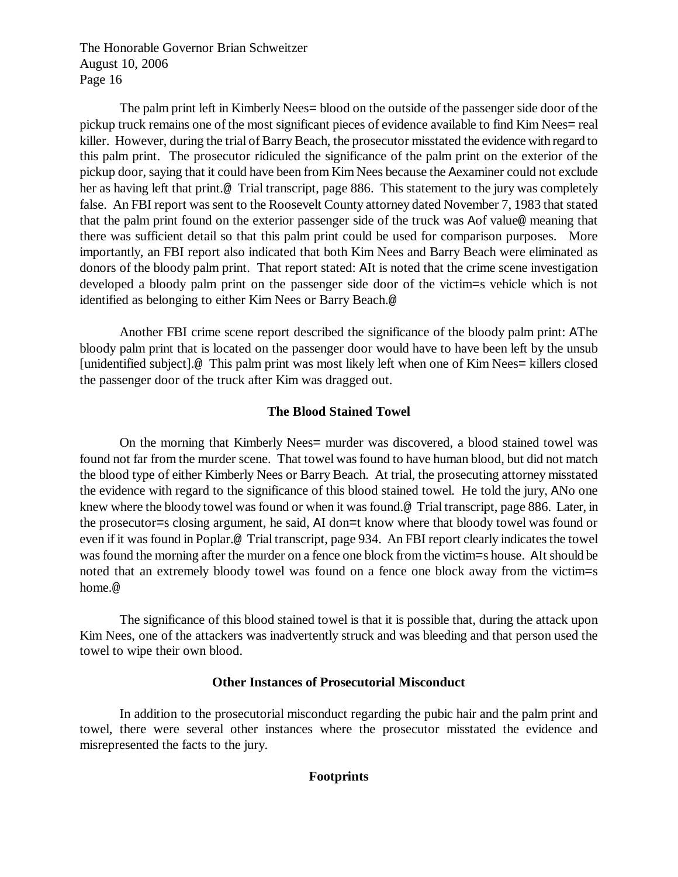The palm print left in Kimberly Nees= blood on the outside of the passenger side door of the pickup truck remains one of the most significant pieces of evidence available to find Kim Nees= real killer. However, during the trial of Barry Beach, the prosecutor misstated the evidence with regard to this palm print. The prosecutor ridiculed the significance of the palm print on the exterior of the pickup door, saying that it could have been from Kim Nees because the Aexaminer could not exclude her as having left that print.<sup>@</sup> Trial transcript, page 886. This statement to the jury was completely false. An FBI report was sent to the Roosevelt County attorney dated November 7, 1983 that stated that the palm print found on the exterior passenger side of the truck was Aof value@ meaning that there was sufficient detail so that this palm print could be used for comparison purposes. More importantly, an FBI report also indicated that both Kim Nees and Barry Beach were eliminated as donors of the bloody palm print. That report stated: AIt is noted that the crime scene investigation developed a bloody palm print on the passenger side door of the victim=s vehicle which is not identified as belonging to either Kim Nees or Barry Beach.@

Another FBI crime scene report described the significance of the bloody palm print: AThe bloody palm print that is located on the passenger door would have to have been left by the unsub [unidentified subject].@ This palm print was most likely left when one of Kim Nees= killers closed the passenger door of the truck after Kim was dragged out.

## **The Blood Stained Towel**

On the morning that Kimberly Nees= murder was discovered, a blood stained towel was found not far from the murder scene. That towel was found to have human blood, but did not match the blood type of either Kimberly Nees or Barry Beach. At trial, the prosecuting attorney misstated the evidence with regard to the significance of this blood stained towel. He told the jury, ANo one knew where the bloody towel was found or when it was found.@ Trial transcript, page 886. Later, in the prosecutor=s closing argument, he said, AI don=t know where that bloody towel was found or even if it was found in Poplar.@ Trial transcript, page 934. An FBI report clearly indicates the towel was found the morning after the murder on a fence one block from the victim=s house. AIt should be noted that an extremely bloody towel was found on a fence one block away from the victim=s home.@

The significance of this blood stained towel is that it is possible that, during the attack upon Kim Nees, one of the attackers was inadvertently struck and was bleeding and that person used the towel to wipe their own blood.

## **Other Instances of Prosecutorial Misconduct**

In addition to the prosecutorial misconduct regarding the pubic hair and the palm print and towel, there were several other instances where the prosecutor misstated the evidence and misrepresented the facts to the jury.

## **Footprints**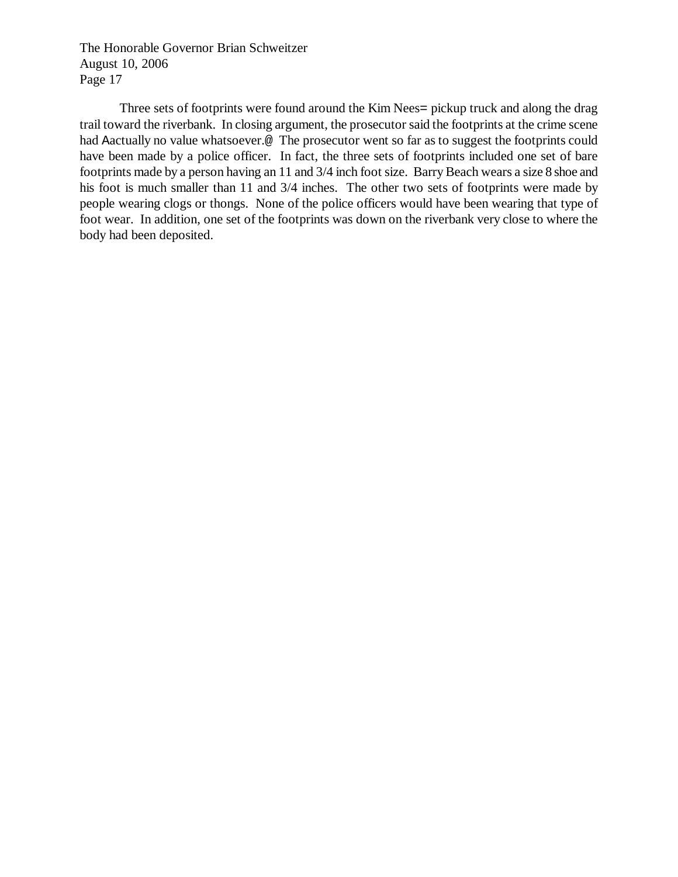Three sets of footprints were found around the Kim Nees= pickup truck and along the drag trail toward the riverbank. In closing argument, the prosecutor said the footprints at the crime scene had Aactually no value whatsoever.@ The prosecutor went so far as to suggest the footprints could have been made by a police officer. In fact, the three sets of footprints included one set of bare footprints made by a person having an 11 and 3/4 inch foot size. Barry Beach wears a size 8 shoe and his foot is much smaller than 11 and 3/4 inches. The other two sets of footprints were made by people wearing clogs or thongs. None of the police officers would have been wearing that type of foot wear. In addition, one set of the footprints was down on the riverbank very close to where the body had been deposited.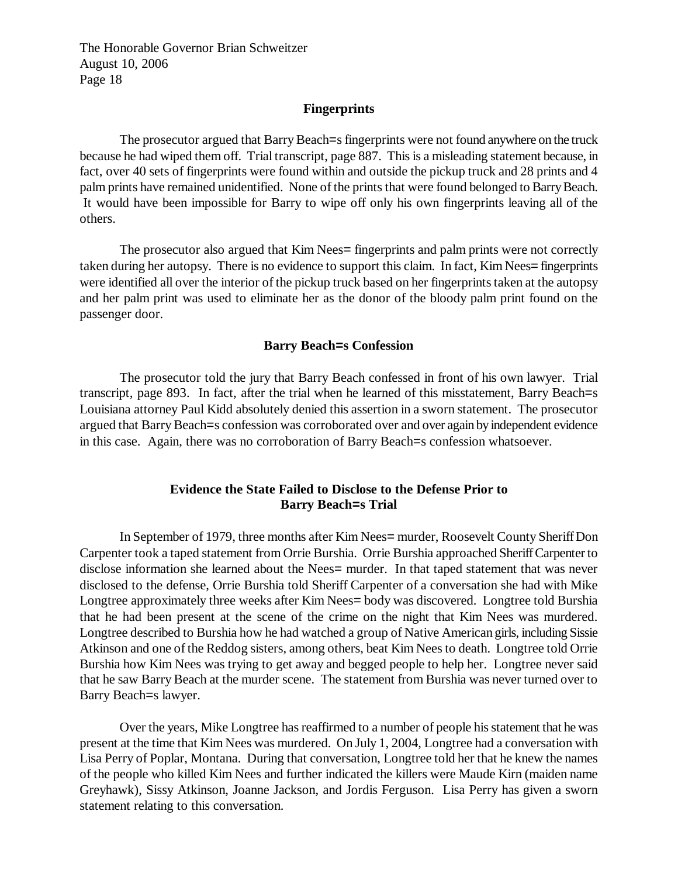#### **Fingerprints**

The prosecutor argued that Barry Beach=s fingerprints were not found anywhere on the truck because he had wiped them off. Trial transcript, page 887. This is a misleading statement because, in fact, over 40 sets of fingerprints were found within and outside the pickup truck and 28 prints and 4 palm prints have remained unidentified. None of the prints that were found belonged to Barry Beach. It would have been impossible for Barry to wipe off only his own fingerprints leaving all of the others.

The prosecutor also argued that Kim Nees= fingerprints and palm prints were not correctly taken during her autopsy. There is no evidence to support this claim. In fact, Kim Nees= fingerprints were identified all over the interior of the pickup truck based on her fingerprints taken at the autopsy and her palm print was used to eliminate her as the donor of the bloody palm print found on the passenger door.

#### **Barry Beach=s Confession**

The prosecutor told the jury that Barry Beach confessed in front of his own lawyer. Trial transcript, page 893. In fact, after the trial when he learned of this misstatement, Barry Beach=s Louisiana attorney Paul Kidd absolutely denied this assertion in a sworn statement. The prosecutor argued that Barry Beach=s confession was corroborated over and over again by independent evidence in this case. Again, there was no corroboration of Barry Beach=s confession whatsoever.

## **Evidence the State Failed to Disclose to the Defense Prior to Barry Beach=s Trial**

In September of 1979, three months after Kim Nees= murder, Roosevelt County Sheriff Don Carpenter took a taped statement from Orrie Burshia. Orrie Burshia approached Sheriff Carpenter to disclose information she learned about the Nees= murder. In that taped statement that was never disclosed to the defense, Orrie Burshia told Sheriff Carpenter of a conversation she had with Mike Longtree approximately three weeks after Kim Nees= body was discovered. Longtree told Burshia that he had been present at the scene of the crime on the night that Kim Nees was murdered. Longtree described to Burshia how he had watched a group of Native American girls, including Sissie Atkinson and one of the Reddog sisters, among others, beat Kim Nees to death. Longtree told Orrie Burshia how Kim Nees was trying to get away and begged people to help her. Longtree never said that he saw Barry Beach at the murder scene. The statement from Burshia was never turned over to Barry Beach=s lawyer.

Over the years, Mike Longtree has reaffirmed to a number of people his statement that he was present at the time that Kim Nees was murdered. On July 1, 2004, Longtree had a conversation with Lisa Perry of Poplar, Montana. During that conversation, Longtree told her that he knew the names of the people who killed Kim Nees and further indicated the killers were Maude Kirn (maiden name Greyhawk), Sissy Atkinson, Joanne Jackson, and Jordis Ferguson. Lisa Perry has given a sworn statement relating to this conversation.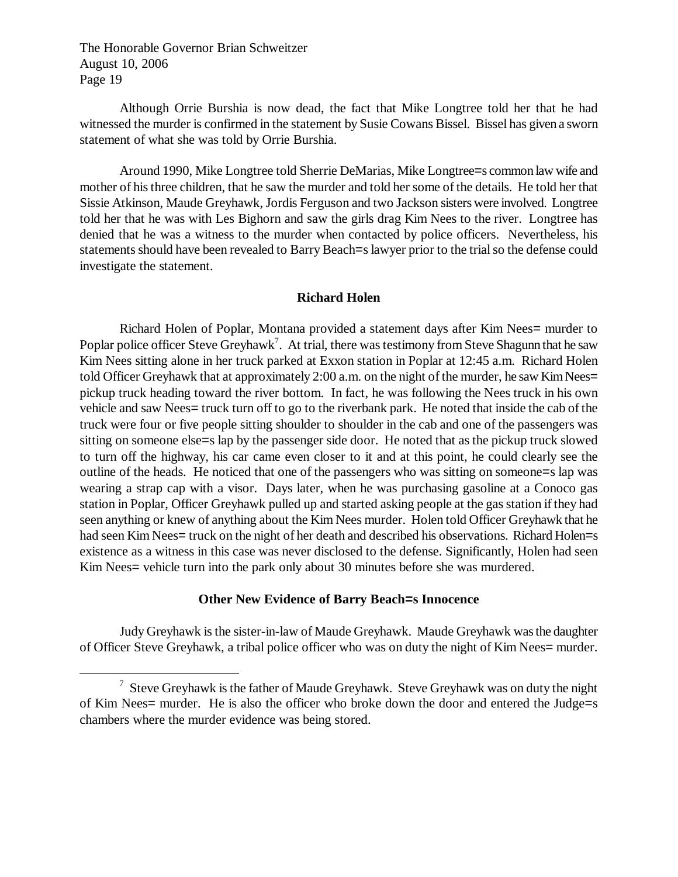<u>.</u>

Although Orrie Burshia is now dead, the fact that Mike Longtree told her that he had witnessed the murder is confirmed in the statement by Susie Cowans Bissel. Bissel has given a sworn statement of what she was told by Orrie Burshia.

Around 1990, Mike Longtree told Sherrie DeMarias, Mike Longtree=s common law wife and mother of his three children, that he saw the murder and told her some of the details. He told her that Sissie Atkinson, Maude Greyhawk, Jordis Ferguson and two Jackson sisters were involved. Longtree told her that he was with Les Bighorn and saw the girls drag Kim Nees to the river. Longtree has denied that he was a witness to the murder when contacted by police officers. Nevertheless, his statements should have been revealed to Barry Beach=s lawyer prior to the trial so the defense could investigate the statement.

## **Richard Holen**

Richard Holen of Poplar, Montana provided a statement days after Kim Nees= murder to Poplar police officer Steve Greyhawk<sup>7</sup>. At trial, there was testimony from Steve Shagunn that he saw Kim Nees sitting alone in her truck parked at Exxon station in Poplar at 12:45 a.m. Richard Holen told Officer Greyhawk that at approximately 2:00 a.m. on the night of the murder, he saw Kim Nees= pickup truck heading toward the river bottom. In fact, he was following the Nees truck in his own vehicle and saw Nees= truck turn off to go to the riverbank park. He noted that inside the cab of the truck were four or five people sitting shoulder to shoulder in the cab and one of the passengers was sitting on someone else=s lap by the passenger side door. He noted that as the pickup truck slowed to turn off the highway, his car came even closer to it and at this point, he could clearly see the outline of the heads. He noticed that one of the passengers who was sitting on someone=s lap was wearing a strap cap with a visor. Days later, when he was purchasing gasoline at a Conoco gas station in Poplar, Officer Greyhawk pulled up and started asking people at the gas station if they had seen anything or knew of anything about the Kim Nees murder. Holen told Officer Greyhawk that he had seen Kim Nees= truck on the night of her death and described his observations. Richard Holen=s existence as a witness in this case was never disclosed to the defense. Significantly, Holen had seen Kim Nees= vehicle turn into the park only about 30 minutes before she was murdered.

## **Other New Evidence of Barry Beach=s Innocence**

Judy Greyhawk is the sister-in-law of Maude Greyhawk. Maude Greyhawk was the daughter of Officer Steve Greyhawk, a tribal police officer who was on duty the night of Kim Nees= murder.

 $\frac{7}{1}$  Steve Greyhawk is the father of Maude Greyhawk. Steve Greyhawk was on duty the night of Kim Nees= murder. He is also the officer who broke down the door and entered the Judge=s chambers where the murder evidence was being stored.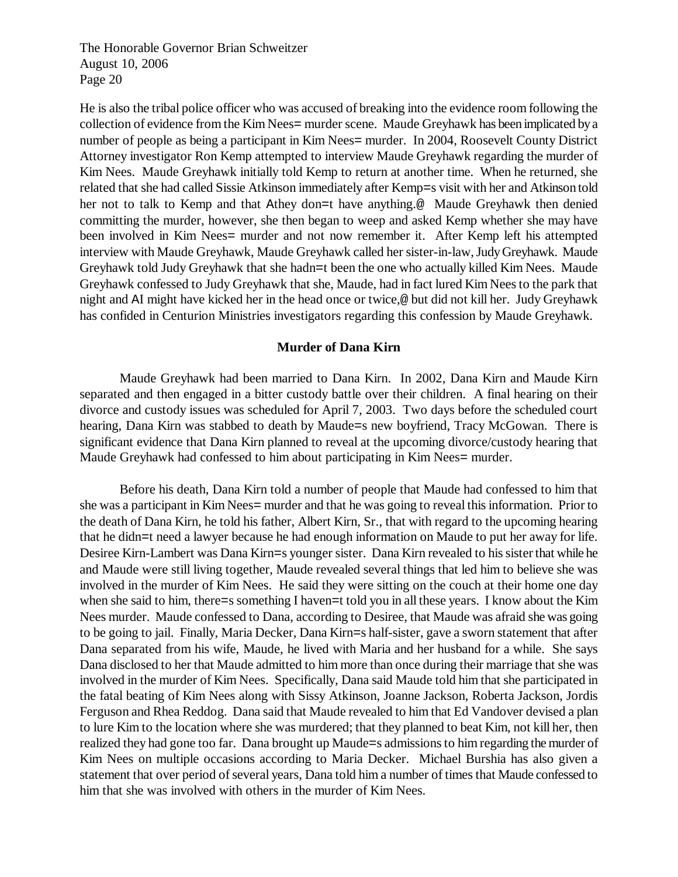He is also the tribal police officer who was accused of breaking into the evidence room following the collection of evidence from the Kim Nees= murder scene. Maude Greyhawk has been implicated by a number of people as being a participant in Kim Nees= murder. In 2004, Roosevelt County District Attorney investigator Ron Kemp attempted to interview Maude Greyhawk regarding the murder of Kim Nees. Maude Greyhawk initially told Kemp to return at another time. When he returned, she related that she had called Sissie Atkinson immediately after Kemp=s visit with her and Atkinson told her not to talk to Kemp and that Athey don=t have anything.@ Maude Greyhawk then denied committing the murder, however, she then began to weep and asked Kemp whether she may have been involved in Kim Nees= murder and not now remember it. After Kemp left his attempted interview with Maude Greyhawk, Maude Greyhawk called her sister-in-law, Judy Greyhawk. Maude Greyhawk told Judy Greyhawk that she hadn=t been the one who actually killed Kim Nees. Maude Greyhawk confessed to Judy Greyhawk that she, Maude, had in fact lured Kim Nees to the park that night and AI might have kicked her in the head once or twice,@ but did not kill her. Judy Greyhawk has confided in Centurion Ministries investigators regarding this confession by Maude Greyhawk.

### **Murder of Dana Kirn**

Maude Greyhawk had been married to Dana Kirn. In 2002, Dana Kirn and Maude Kirn separated and then engaged in a bitter custody battle over their children. A final hearing on their divorce and custody issues was scheduled for April 7, 2003. Two days before the scheduled court hearing, Dana Kirn was stabbed to death by Maude=s new boyfriend, Tracy McGowan. There is significant evidence that Dana Kirn planned to reveal at the upcoming divorce/custody hearing that Maude Greyhawk had confessed to him about participating in Kim Nees= murder.

Before his death, Dana Kirn told a number of people that Maude had confessed to him that she was a participant in Kim Nees= murder and that he was going to reveal this information. Prior to the death of Dana Kirn, he told his father, Albert Kirn, Sr., that with regard to the upcoming hearing that he didn=t need a lawyer because he had enough information on Maude to put her away for life. Desiree Kirn-Lambert was Dana Kirn=s younger sister. Dana Kirn revealed to his sister that while he and Maude were still living together, Maude revealed several things that led him to believe she was involved in the murder of Kim Nees. He said they were sitting on the couch at their home one day when she said to him, there=s something I haven=t told you in all these years. I know about the Kim Nees murder. Maude confessed to Dana, according to Desiree, that Maude was afraid she was going to be going to jail. Finally, Maria Decker, Dana Kirn=s half-sister, gave a sworn statement that after Dana separated from his wife, Maude, he lived with Maria and her husband for a while. She says Dana disclosed to her that Maude admitted to him more than once during their marriage that she was involved in the murder of Kim Nees. Specifically, Dana said Maude told him that she participated in the fatal beating of Kim Nees along with Sissy Atkinson, Joanne Jackson, Roberta Jackson, Jordis Ferguson and Rhea Reddog. Dana said that Maude revealed to him that Ed Vandover devised a plan to lure Kim to the location where she was murdered; that they planned to beat Kim, not kill her, then realized they had gone too far. Dana brought up Maude=s admissions to him regarding the murder of Kim Nees on multiple occasions according to Maria Decker. Michael Burshia has also given a statement that over period of several years, Dana told him a number of times that Maude confessed to him that she was involved with others in the murder of Kim Nees.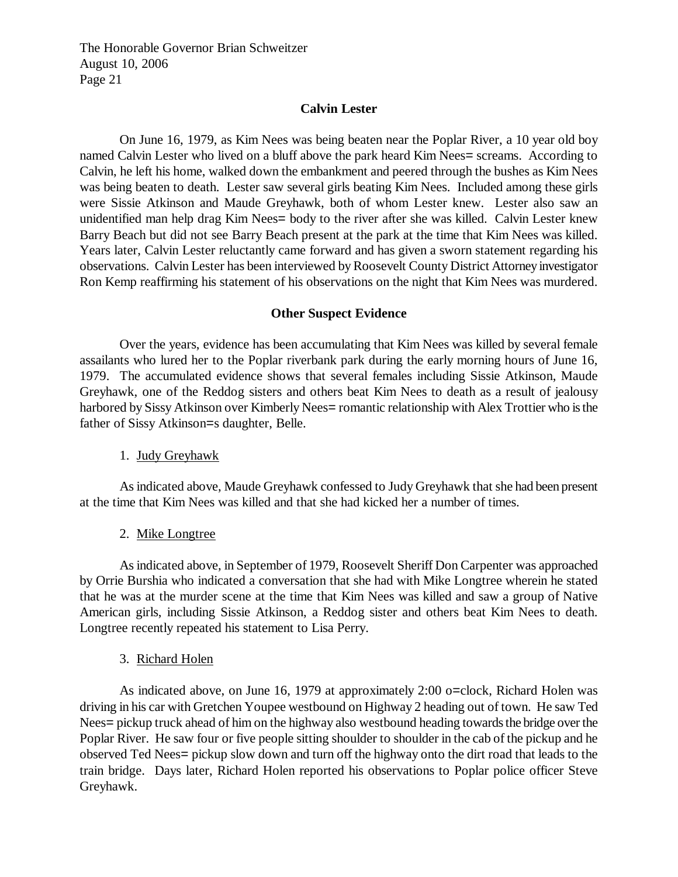#### **Calvin Lester**

On June 16, 1979, as Kim Nees was being beaten near the Poplar River, a 10 year old boy named Calvin Lester who lived on a bluff above the park heard Kim Nees= screams. According to Calvin, he left his home, walked down the embankment and peered through the bushes as Kim Nees was being beaten to death. Lester saw several girls beating Kim Nees. Included among these girls were Sissie Atkinson and Maude Greyhawk, both of whom Lester knew. Lester also saw an unidentified man help drag Kim Nees= body to the river after she was killed. Calvin Lester knew Barry Beach but did not see Barry Beach present at the park at the time that Kim Nees was killed. Years later, Calvin Lester reluctantly came forward and has given a sworn statement regarding his observations. Calvin Lester has been interviewed by Roosevelt County District Attorney investigator Ron Kemp reaffirming his statement of his observations on the night that Kim Nees was murdered.

#### **Other Suspect Evidence**

Over the years, evidence has been accumulating that Kim Nees was killed by several female assailants who lured her to the Poplar riverbank park during the early morning hours of June 16, 1979. The accumulated evidence shows that several females including Sissie Atkinson, Maude Greyhawk, one of the Reddog sisters and others beat Kim Nees to death as a result of jealousy harbored by Sissy Atkinson over Kimberly Nees= romantic relationship with Alex Trottier who is the father of Sissy Atkinson=s daughter, Belle.

#### 1. Judy Greyhawk

As indicated above, Maude Greyhawk confessed to Judy Greyhawk that she had been present at the time that Kim Nees was killed and that she had kicked her a number of times.

## 2. Mike Longtree

As indicated above, in September of 1979, Roosevelt Sheriff Don Carpenter was approached by Orrie Burshia who indicated a conversation that she had with Mike Longtree wherein he stated that he was at the murder scene at the time that Kim Nees was killed and saw a group of Native American girls, including Sissie Atkinson, a Reddog sister and others beat Kim Nees to death. Longtree recently repeated his statement to Lisa Perry.

#### 3. Richard Holen

As indicated above, on June 16, 1979 at approximately 2:00 o=clock, Richard Holen was driving in his car with Gretchen Youpee westbound on Highway 2 heading out of town. He saw Ted Nees= pickup truck ahead of him on the highway also westbound heading towards the bridge over the Poplar River. He saw four or five people sitting shoulder to shoulder in the cab of the pickup and he observed Ted Nees= pickup slow down and turn off the highway onto the dirt road that leads to the train bridge. Days later, Richard Holen reported his observations to Poplar police officer Steve Greyhawk.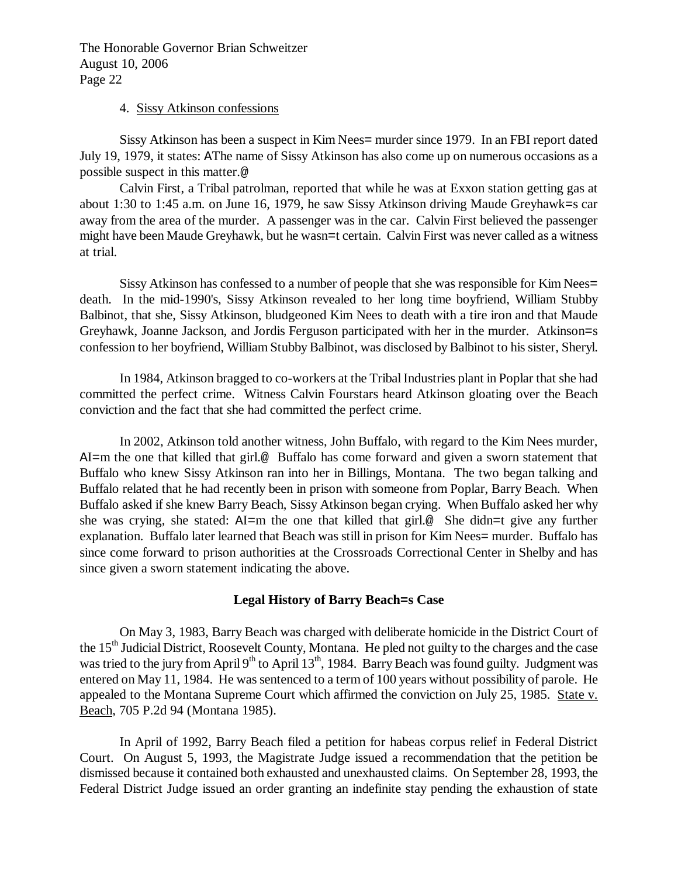#### 4. Sissy Atkinson confessions

Sissy Atkinson has been a suspect in Kim Nees= murder since 1979. In an FBI report dated July 19, 1979, it states: AThe name of Sissy Atkinson has also come up on numerous occasions as a possible suspect in this matter.@

Calvin First, a Tribal patrolman, reported that while he was at Exxon station getting gas at about 1:30 to 1:45 a.m. on June 16, 1979, he saw Sissy Atkinson driving Maude Greyhawk=s car away from the area of the murder. A passenger was in the car. Calvin First believed the passenger might have been Maude Greyhawk, but he wasn=t certain. Calvin First was never called as a witness at trial.

Sissy Atkinson has confessed to a number of people that she was responsible for Kim Nees= death. In the mid-1990's, Sissy Atkinson revealed to her long time boyfriend, William Stubby Balbinot, that she, Sissy Atkinson, bludgeoned Kim Nees to death with a tire iron and that Maude Greyhawk, Joanne Jackson, and Jordis Ferguson participated with her in the murder. Atkinson=s confession to her boyfriend, William Stubby Balbinot, was disclosed by Balbinot to his sister, Sheryl.

In 1984, Atkinson bragged to co-workers at the Tribal Industries plant in Poplar that she had committed the perfect crime. Witness Calvin Fourstars heard Atkinson gloating over the Beach conviction and the fact that she had committed the perfect crime.

In 2002, Atkinson told another witness, John Buffalo, with regard to the Kim Nees murder, AI=m the one that killed that girl.@ Buffalo has come forward and given a sworn statement that Buffalo who knew Sissy Atkinson ran into her in Billings, Montana. The two began talking and Buffalo related that he had recently been in prison with someone from Poplar, Barry Beach. When Buffalo asked if she knew Barry Beach, Sissy Atkinson began crying. When Buffalo asked her why she was crying, she stated: AI=m the one that killed that girl.@ She didn=t give any further explanation. Buffalo later learned that Beach was still in prison for Kim Nees= murder. Buffalo has since come forward to prison authorities at the Crossroads Correctional Center in Shelby and has since given a sworn statement indicating the above.

## **Legal History of Barry Beach=s Case**

On May 3, 1983, Barry Beach was charged with deliberate homicide in the District Court of the 15<sup>th</sup> Judicial District, Roosevelt County, Montana. He pled not guilty to the charges and the case was tried to the jury from April 9<sup>th</sup> to April 13<sup>th</sup>, 1984. Barry Beach was found guilty. Judgment was entered on May 11, 1984. He was sentenced to a term of 100 years without possibility of parole. He appealed to the Montana Supreme Court which affirmed the conviction on July 25, 1985. State v. Beach, 705 P.2d 94 (Montana 1985).

In April of 1992, Barry Beach filed a petition for habeas corpus relief in Federal District Court. On August 5, 1993, the Magistrate Judge issued a recommendation that the petition be dismissed because it contained both exhausted and unexhausted claims. On September 28, 1993, the Federal District Judge issued an order granting an indefinite stay pending the exhaustion of state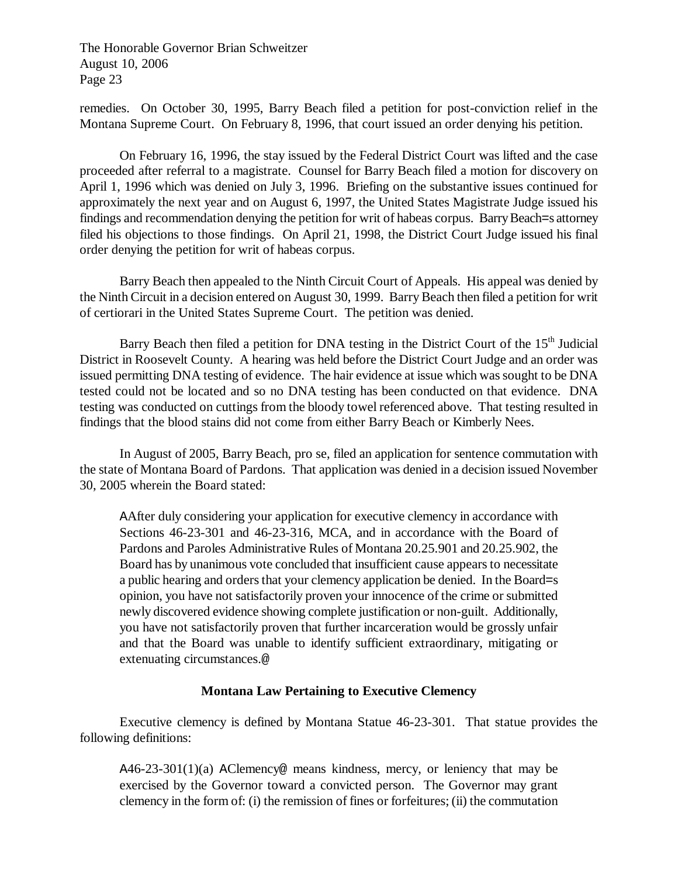remedies. On October 30, 1995, Barry Beach filed a petition for post-conviction relief in the Montana Supreme Court. On February 8, 1996, that court issued an order denying his petition.

On February 16, 1996, the stay issued by the Federal District Court was lifted and the case proceeded after referral to a magistrate. Counsel for Barry Beach filed a motion for discovery on April 1, 1996 which was denied on July 3, 1996. Briefing on the substantive issues continued for approximately the next year and on August 6, 1997, the United States Magistrate Judge issued his findings and recommendation denying the petition for writ of habeas corpus. Barry Beach=s attorney filed his objections to those findings. On April 21, 1998, the District Court Judge issued his final order denying the petition for writ of habeas corpus.

Barry Beach then appealed to the Ninth Circuit Court of Appeals. His appeal was denied by the Ninth Circuit in a decision entered on August 30, 1999. Barry Beach then filed a petition for writ of certiorari in the United States Supreme Court. The petition was denied.

Barry Beach then filed a petition for DNA testing in the District Court of the  $15<sup>th</sup>$  Judicial District in Roosevelt County. A hearing was held before the District Court Judge and an order was issued permitting DNA testing of evidence. The hair evidence at issue which was sought to be DNA tested could not be located and so no DNA testing has been conducted on that evidence. DNA testing was conducted on cuttings from the bloody towel referenced above. That testing resulted in findings that the blood stains did not come from either Barry Beach or Kimberly Nees.

In August of 2005, Barry Beach, pro se, filed an application for sentence commutation with the state of Montana Board of Pardons. That application was denied in a decision issued November 30, 2005 wherein the Board stated:

AAfter duly considering your application for executive clemency in accordance with Sections 46-23-301 and 46-23-316, MCA, and in accordance with the Board of Pardons and Paroles Administrative Rules of Montana 20.25.901 and 20.25.902, the Board has by unanimous vote concluded that insufficient cause appears to necessitate a public hearing and orders that your clemency application be denied. In the Board=s opinion, you have not satisfactorily proven your innocence of the crime or submitted newly discovered evidence showing complete justification or non-guilt. Additionally, you have not satisfactorily proven that further incarceration would be grossly unfair and that the Board was unable to identify sufficient extraordinary, mitigating or extenuating circumstances.@

## **Montana Law Pertaining to Executive Clemency**

Executive clemency is defined by Montana Statue 46-23-301. That statue provides the following definitions:

A46-23-301(1)(a) AClemency@ means kindness, mercy, or leniency that may be exercised by the Governor toward a convicted person. The Governor may grant clemency in the form of: (i) the remission of fines or forfeitures; (ii) the commutation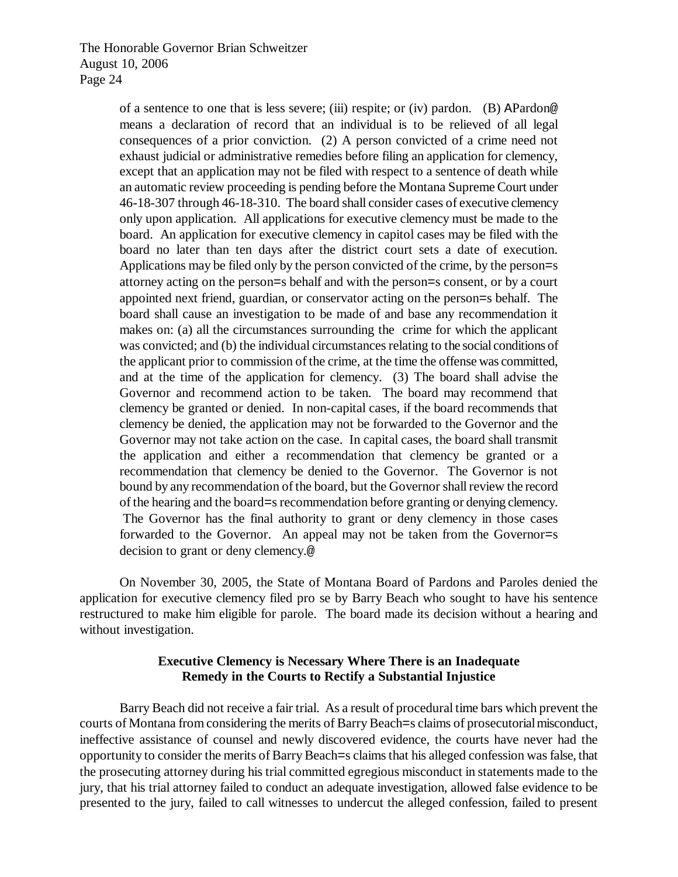of a sentence to one that is less severe; (iii) respite; or (iv) pardon. (B) APardon@ means a declaration of record that an individual is to be relieved of all legal consequences of a prior conviction. (2) A person convicted of a crime need not exhaust judicial or administrative remedies before filing an application for clemency, except that an application may not be filed with respect to a sentence of death while an automatic review proceeding is pending before the Montana Supreme Court under 46-18-307 through 46-18-310. The board shall consider cases of executive clemency only upon application. All applications for executive clemency must be made to the board. An application for executive clemency in capitol cases may be filed with the board no later than ten days after the district court sets a date of execution. Applications may be filed only by the person convicted of the crime, by the person=s attorney acting on the person=s behalf and with the person=s consent, or by a court appointed next friend, guardian, or conservator acting on the person=s behalf. The board shall cause an investigation to be made of and base any recommendation it makes on: (a) all the circumstances surrounding the crime for which the applicant was convicted; and (b) the individual circumstances relating to the social conditions of the applicant prior to commission of the crime, at the time the offense was committed, and at the time of the application for clemency. (3) The board shall advise the Governor and recommend action to be taken. The board may recommend that clemency be granted or denied. In non-capital cases, if the board recommends that clemency be denied, the application may not be forwarded to the Governor and the Governor may not take action on the case. In capital cases, the board shall transmit the application and either a recommendation that clemency be granted or a recommendation that clemency be denied to the Governor. The Governor is not bound by any recommendation of the board, but the Governor shall review the record of the hearing and the board=s recommendation before granting or denying clemency. The Governor has the final authority to grant or deny clemency in those cases forwarded to the Governor. An appeal may not be taken from the Governor=s decision to grant or deny clemency.@

On November 30, 2005, the State of Montana Board of Pardons and Paroles denied the application for executive clemency filed pro se by Barry Beach who sought to have his sentence restructured to make him eligible for parole. The board made its decision without a hearing and without investigation.

# **Executive Clemency is Necessary Where There is an Inadequate Remedy in the Courts to Rectify a Substantial Injustice**

Barry Beach did not receive a fair trial. As a result of procedural time bars which prevent the courts of Montana from considering the merits of Barry Beach=s claims of prosecutorial misconduct, ineffective assistance of counsel and newly discovered evidence, the courts have never had the opportunity to consider the merits of Barry Beach=s claims that his alleged confession was false, that the prosecuting attorney during his trial committed egregious misconduct in statements made to the jury, that his trial attorney failed to conduct an adequate investigation, allowed false evidence to be presented to the jury, failed to call witnesses to undercut the alleged confession, failed to present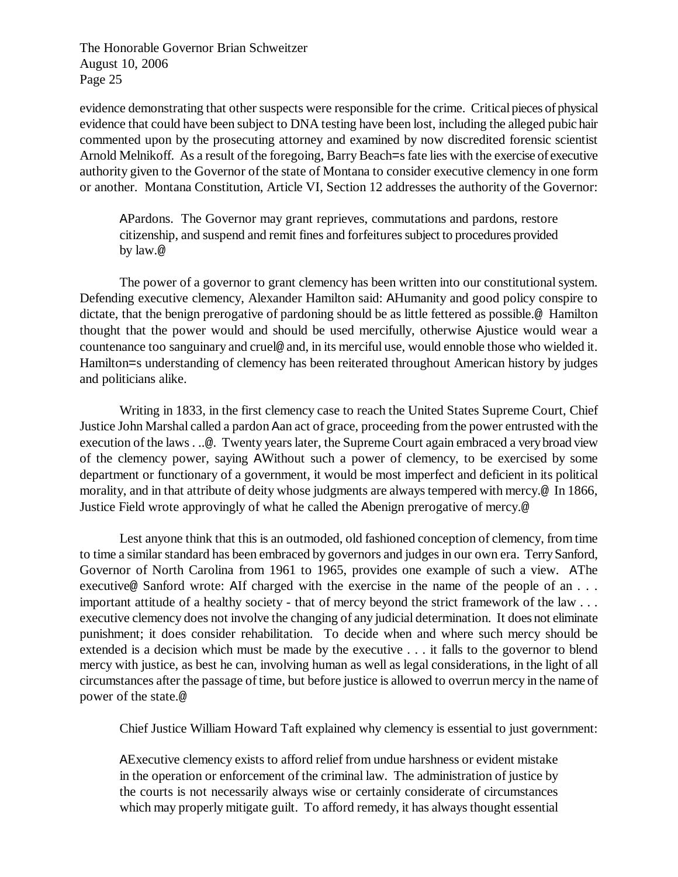evidence demonstrating that other suspects were responsible for the crime. Critical pieces of physical evidence that could have been subject to DNA testing have been lost, including the alleged pubic hair commented upon by the prosecuting attorney and examined by now discredited forensic scientist Arnold Melnikoff. As a result of the foregoing, Barry Beach=s fate lies with the exercise of executive authority given to the Governor of the state of Montana to consider executive clemency in one form or another. Montana Constitution, Article VI, Section 12 addresses the authority of the Governor:

APardons. The Governor may grant reprieves, commutations and pardons, restore citizenship, and suspend and remit fines and forfeitures subject to procedures provided by law.@

The power of a governor to grant clemency has been written into our constitutional system. Defending executive clemency, Alexander Hamilton said: AHumanity and good policy conspire to dictate, that the benign prerogative of pardoning should be as little fettered as possible.@ Hamilton thought that the power would and should be used mercifully, otherwise Ajustice would wear a countenance too sanguinary and cruel@ and, in its merciful use, would ennoble those who wielded it. Hamilton=s understanding of clemency has been reiterated throughout American history by judges and politicians alike.

Writing in 1833, in the first clemency case to reach the United States Supreme Court, Chief Justice John Marshal called a pardon Aan act of grace, proceeding from the power entrusted with the execution of the laws . ..@. Twenty years later, the Supreme Court again embraced a very broad view of the clemency power, saying AWithout such a power of clemency, to be exercised by some department or functionary of a government, it would be most imperfect and deficient in its political morality, and in that attribute of deity whose judgments are always tempered with mercy.@ In 1866, Justice Field wrote approvingly of what he called the Abenign prerogative of mercy.@

Lest anyone think that this is an outmoded, old fashioned conception of clemency, from time to time a similar standard has been embraced by governors and judges in our own era. Terry Sanford, Governor of North Carolina from 1961 to 1965, provides one example of such a view. AThe executive@ Sanford wrote: AIf charged with the exercise in the name of the people of an . . . important attitude of a healthy society - that of mercy beyond the strict framework of the law . . . executive clemency does not involve the changing of any judicial determination. It does not eliminate punishment; it does consider rehabilitation. To decide when and where such mercy should be extended is a decision which must be made by the executive . . . it falls to the governor to blend mercy with justice, as best he can, involving human as well as legal considerations, in the light of all circumstances after the passage of time, but before justice is allowed to overrun mercy in the name of power of the state.@

Chief Justice William Howard Taft explained why clemency is essential to just government:

AExecutive clemency exists to afford relief from undue harshness or evident mistake in the operation or enforcement of the criminal law. The administration of justice by the courts is not necessarily always wise or certainly considerate of circumstances which may properly mitigate guilt. To afford remedy, it has always thought essential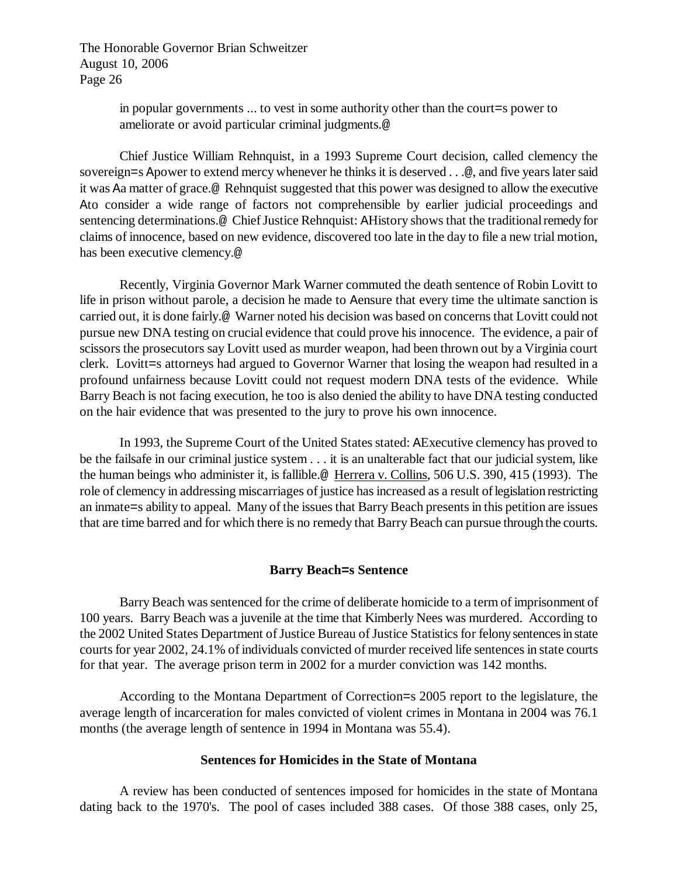> in popular governments ... to vest in some authority other than the court=s power to ameliorate or avoid particular criminal judgments.@

Chief Justice William Rehnquist, in a 1993 Supreme Court decision, called clemency the sovereign=s Apower to extend mercy whenever he thinks it is deserved . . .@, and five years later said it was Aa matter of grace.@ Rehnquist suggested that this power was designed to allow the executive Ato consider a wide range of factors not comprehensible by earlier judicial proceedings and sentencing determinations.@ Chief Justice Rehnquist: AHistory shows that the traditional remedy for claims of innocence, based on new evidence, discovered too late in the day to file a new trial motion, has been executive clemency.@

Recently, Virginia Governor Mark Warner commuted the death sentence of Robin Lovitt to life in prison without parole, a decision he made to Aensure that every time the ultimate sanction is carried out, it is done fairly.@ Warner noted his decision was based on concerns that Lovitt could not pursue new DNA testing on crucial evidence that could prove his innocence. The evidence, a pair of scissors the prosecutors say Lovitt used as murder weapon, had been thrown out by a Virginia court clerk. Lovitt=s attorneys had argued to Governor Warner that losing the weapon had resulted in a profound unfairness because Lovitt could not request modern DNA tests of the evidence. While Barry Beach is not facing execution, he too is also denied the ability to have DNA testing conducted on the hair evidence that was presented to the jury to prove his own innocence.

In 1993, the Supreme Court of the United States stated: AExecutive clemency has proved to be the failsafe in our criminal justice system . . . it is an unalterable fact that our judicial system, like the human beings who administer it, is fallible.@ Herrera v. Collins, 506 U.S. 390, 415 (1993). The role of clemency in addressing miscarriages of justice has increased as a result of legislation restricting an inmate=s ability to appeal. Many of the issues that Barry Beach presents in this petition are issues that are time barred and for which there is no remedy that Barry Beach can pursue through the courts.

## **Barry Beach=s Sentence**

Barry Beach was sentenced for the crime of deliberate homicide to a term of imprisonment of 100 years. Barry Beach was a juvenile at the time that Kimberly Nees was murdered. According to the 2002 United States Department of Justice Bureau of Justice Statistics for felony sentences in state courts for year 2002, 24.1% of individuals convicted of murder received life sentences in state courts for that year. The average prison term in 2002 for a murder conviction was 142 months.

According to the Montana Department of Correction=s 2005 report to the legislature, the average length of incarceration for males convicted of violent crimes in Montana in 2004 was 76.1 months (the average length of sentence in 1994 in Montana was 55.4).

#### **Sentences for Homicides in the State of Montana**

A review has been conducted of sentences imposed for homicides in the state of Montana dating back to the 1970's. The pool of cases included 388 cases. Of those 388 cases, only 25,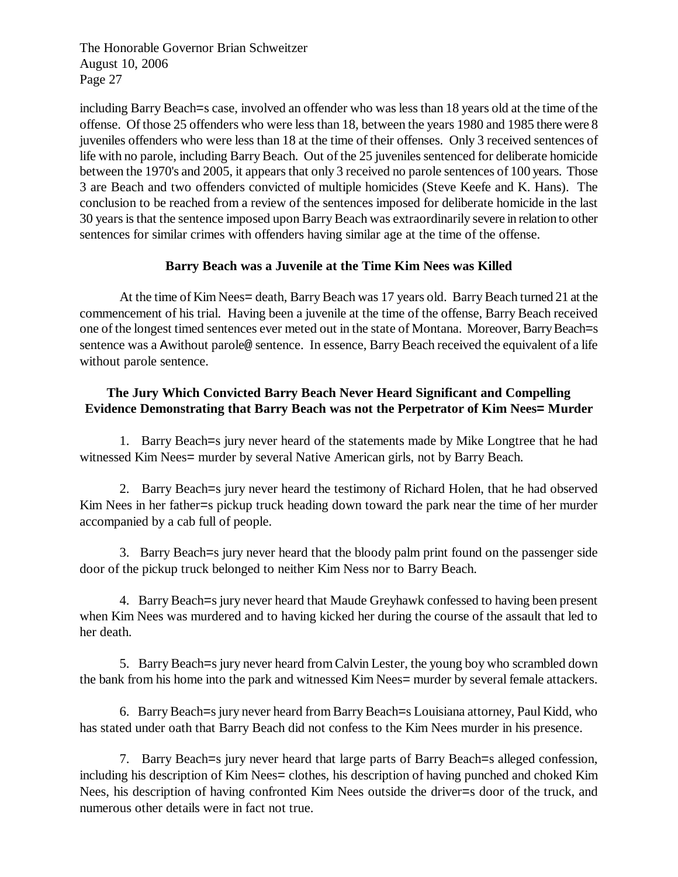including Barry Beach=s case, involved an offender who was less than 18 years old at the time of the offense. Of those 25 offenders who were less than 18, between the years 1980 and 1985 there were 8 juveniles offenders who were less than 18 at the time of their offenses. Only 3 received sentences of life with no parole, including Barry Beach. Out of the 25 juveniles sentenced for deliberate homicide between the 1970's and 2005, it appears that only 3 received no parole sentences of 100 years. Those 3 are Beach and two offenders convicted of multiple homicides (Steve Keefe and K. Hans). The conclusion to be reached from a review of the sentences imposed for deliberate homicide in the last 30 years is that the sentence imposed upon Barry Beach was extraordinarily severe in relation to other sentences for similar crimes with offenders having similar age at the time of the offense.

# **Barry Beach was a Juvenile at the Time Kim Nees was Killed**

At the time of Kim Nees= death, Barry Beach was 17 years old. Barry Beach turned 21 at the commencement of his trial. Having been a juvenile at the time of the offense, Barry Beach received one of the longest timed sentences ever meted out in the state of Montana. Moreover, Barry Beach=s sentence was a Awithout parole@ sentence. In essence, Barry Beach received the equivalent of a life without parole sentence.

# **The Jury Which Convicted Barry Beach Never Heard Significant and Compelling Evidence Demonstrating that Barry Beach was not the Perpetrator of Kim Nees= Murder**

1. Barry Beach=s jury never heard of the statements made by Mike Longtree that he had witnessed Kim Nees= murder by several Native American girls, not by Barry Beach.

2. Barry Beach=s jury never heard the testimony of Richard Holen, that he had observed Kim Nees in her father=s pickup truck heading down toward the park near the time of her murder accompanied by a cab full of people.

3. Barry Beach=s jury never heard that the bloody palm print found on the passenger side door of the pickup truck belonged to neither Kim Ness nor to Barry Beach.

4. Barry Beach=s jury never heard that Maude Greyhawk confessed to having been present when Kim Nees was murdered and to having kicked her during the course of the assault that led to her death.

5. Barry Beach=s jury never heard from Calvin Lester, the young boy who scrambled down the bank from his home into the park and witnessed Kim Nees= murder by several female attackers.

6. Barry Beach=s jury never heard from Barry Beach=s Louisiana attorney, Paul Kidd, who has stated under oath that Barry Beach did not confess to the Kim Nees murder in his presence.

7. Barry Beach=s jury never heard that large parts of Barry Beach=s alleged confession, including his description of Kim Nees= clothes, his description of having punched and choked Kim Nees, his description of having confronted Kim Nees outside the driver=s door of the truck, and numerous other details were in fact not true.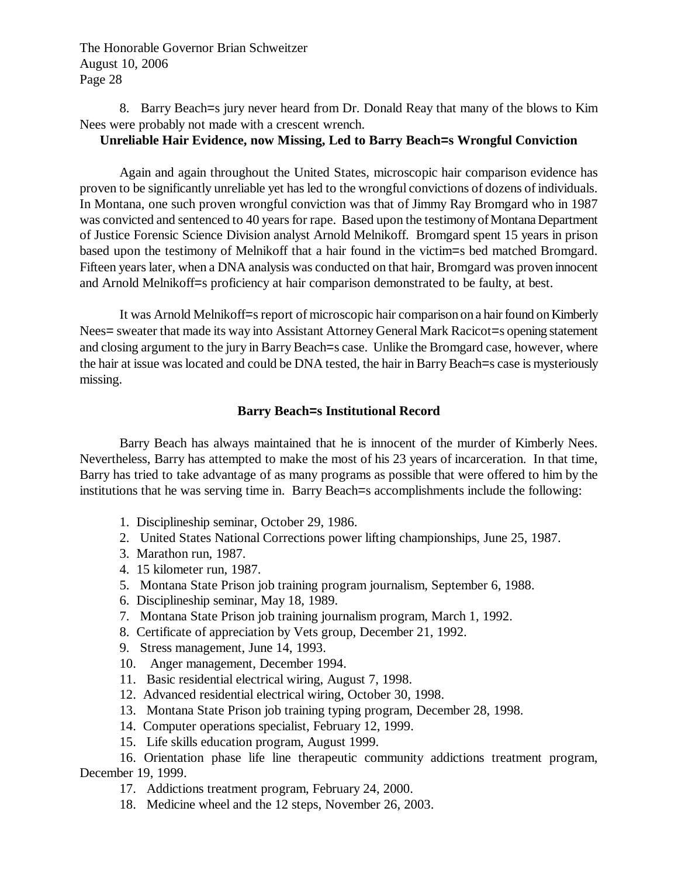8. Barry Beach=s jury never heard from Dr. Donald Reay that many of the blows to Kim Nees were probably not made with a crescent wrench.

## **Unreliable Hair Evidence, now Missing, Led to Barry Beach=s Wrongful Conviction**

Again and again throughout the United States, microscopic hair comparison evidence has proven to be significantly unreliable yet has led to the wrongful convictions of dozens of individuals. In Montana, one such proven wrongful conviction was that of Jimmy Ray Bromgard who in 1987 was convicted and sentenced to 40 years for rape. Based upon the testimony of Montana Department of Justice Forensic Science Division analyst Arnold Melnikoff. Bromgard spent 15 years in prison based upon the testimony of Melnikoff that a hair found in the victim=s bed matched Bromgard. Fifteen years later, when a DNA analysis was conducted on that hair, Bromgard was proven innocent and Arnold Melnikoff=s proficiency at hair comparison demonstrated to be faulty, at best.

It was Arnold Melnikoff=s report of microscopic hair comparison on a hair found on Kimberly Nees= sweater that made its way into Assistant Attorney General Mark Racicot=s opening statement and closing argument to the jury in Barry Beach=s case. Unlike the Bromgard case, however, where the hair at issue was located and could be DNA tested, the hair in Barry Beach=s case is mysteriously missing.

## **Barry Beach=s Institutional Record**

Barry Beach has always maintained that he is innocent of the murder of Kimberly Nees. Nevertheless, Barry has attempted to make the most of his 23 years of incarceration. In that time, Barry has tried to take advantage of as many programs as possible that were offered to him by the institutions that he was serving time in. Barry Beach=s accomplishments include the following:

- 1. Disciplineship seminar, October 29, 1986.
- 2. United States National Corrections power lifting championships, June 25, 1987.
- 3. Marathon run, 1987.
- 4. 15 kilometer run, 1987.
- 5. Montana State Prison job training program journalism, September 6, 1988.
- 6. Disciplineship seminar, May 18, 1989.
- 7. Montana State Prison job training journalism program, March 1, 1992.
- 8. Certificate of appreciation by Vets group, December 21, 1992.
- 9. Stress management, June 14, 1993.
- 10. Anger management, December 1994.
- 11. Basic residential electrical wiring, August 7, 1998.
- 12. Advanced residential electrical wiring, October 30, 1998.
- 13. Montana State Prison job training typing program, December 28, 1998.
- 14. Computer operations specialist, February 12, 1999.
- 15. Life skills education program, August 1999.

16. Orientation phase life line therapeutic community addictions treatment program, December 19, 1999.

- 17. Addictions treatment program, February 24, 2000.
- 18. Medicine wheel and the 12 steps, November 26, 2003.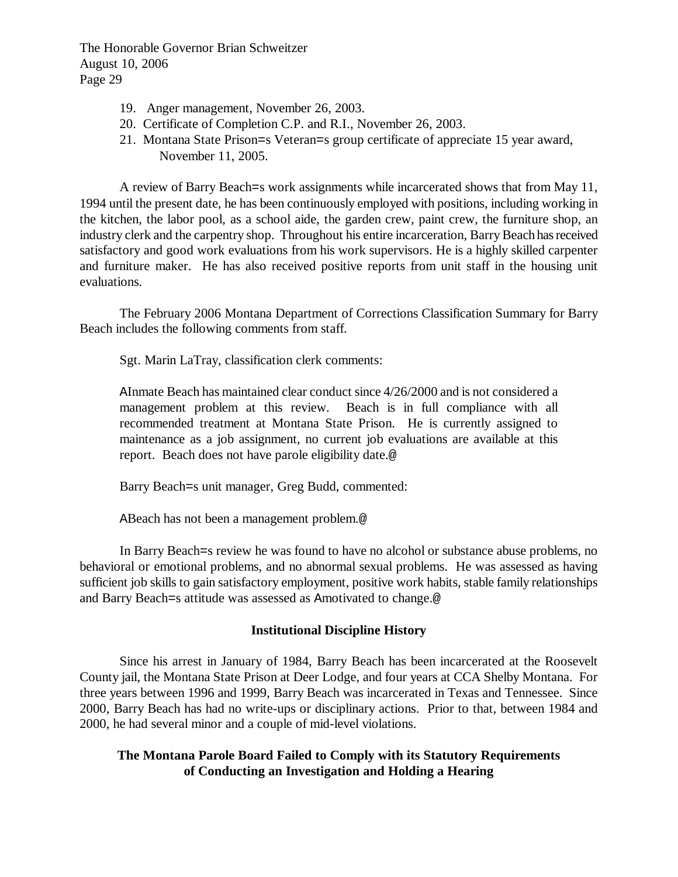- 19. Anger management, November 26, 2003.
- 20. Certificate of Completion C.P. and R.I., November 26, 2003.
- 21. Montana State Prison=s Veteran=s group certificate of appreciate 15 year award, November 11, 2005.

A review of Barry Beach=s work assignments while incarcerated shows that from May 11, 1994 until the present date, he has been continuously employed with positions, including working in the kitchen, the labor pool, as a school aide, the garden crew, paint crew, the furniture shop, an industry clerk and the carpentry shop. Throughout his entire incarceration, Barry Beach has received satisfactory and good work evaluations from his work supervisors. He is a highly skilled carpenter and furniture maker. He has also received positive reports from unit staff in the housing unit evaluations.

The February 2006 Montana Department of Corrections Classification Summary for Barry Beach includes the following comments from staff.

Sgt. Marin LaTray, classification clerk comments:

AInmate Beach has maintained clear conduct since 4/26/2000 and is not considered a management problem at this review. Beach is in full compliance with all recommended treatment at Montana State Prison. He is currently assigned to maintenance as a job assignment, no current job evaluations are available at this report. Beach does not have parole eligibility date.@

Barry Beach=s unit manager, Greg Budd, commented:

ABeach has not been a management problem.@

In Barry Beach=s review he was found to have no alcohol or substance abuse problems, no behavioral or emotional problems, and no abnormal sexual problems. He was assessed as having sufficient job skills to gain satisfactory employment, positive work habits, stable family relationships and Barry Beach=s attitude was assessed as Amotivated to change.@

# **Institutional Discipline History**

Since his arrest in January of 1984, Barry Beach has been incarcerated at the Roosevelt County jail, the Montana State Prison at Deer Lodge, and four years at CCA Shelby Montana. For three years between 1996 and 1999, Barry Beach was incarcerated in Texas and Tennessee. Since 2000, Barry Beach has had no write-ups or disciplinary actions. Prior to that, between 1984 and 2000, he had several minor and a couple of mid-level violations.

# **The Montana Parole Board Failed to Comply with its Statutory Requirements of Conducting an Investigation and Holding a Hearing**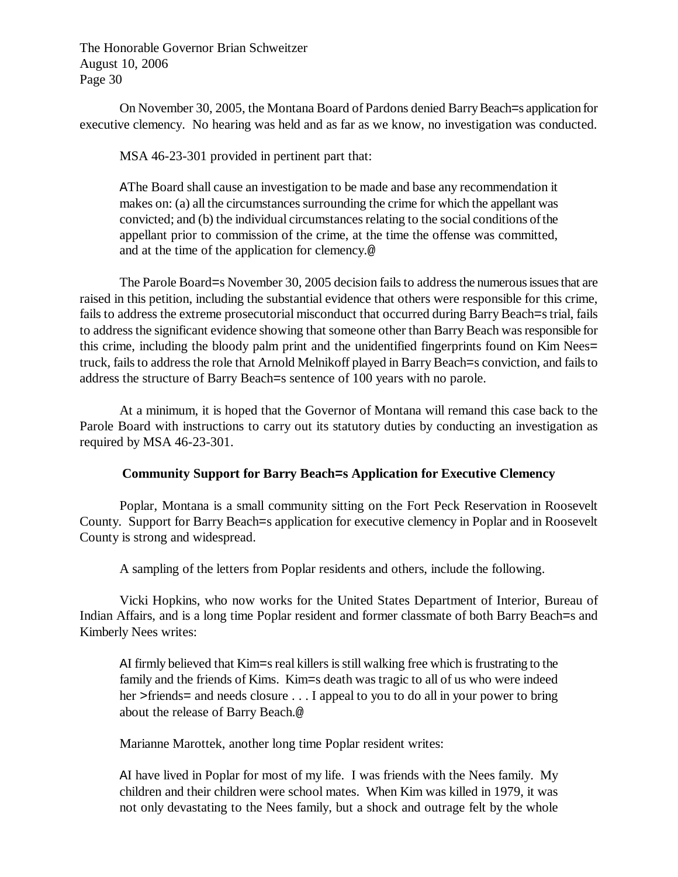On November 30, 2005, the Montana Board of Pardons denied Barry Beach=s application for executive clemency. No hearing was held and as far as we know, no investigation was conducted.

MSA 46-23-301 provided in pertinent part that:

AThe Board shall cause an investigation to be made and base any recommendation it makes on: (a) all the circumstances surrounding the crime for which the appellant was convicted; and (b) the individual circumstances relating to the social conditions of the appellant prior to commission of the crime, at the time the offense was committed, and at the time of the application for clemency.@

The Parole Board=s November 30, 2005 decision fails to address the numerous issues that are raised in this petition, including the substantial evidence that others were responsible for this crime, fails to address the extreme prosecutorial misconduct that occurred during Barry Beach=s trial, fails to address the significant evidence showing that someone other than Barry Beach was responsible for this crime, including the bloody palm print and the unidentified fingerprints found on Kim Nees= truck, fails to address the role that Arnold Melnikoff played in Barry Beach=s conviction, and fails to address the structure of Barry Beach=s sentence of 100 years with no parole.

At a minimum, it is hoped that the Governor of Montana will remand this case back to the Parole Board with instructions to carry out its statutory duties by conducting an investigation as required by MSA 46-23-301.

# **Community Support for Barry Beach=s Application for Executive Clemency**

Poplar, Montana is a small community sitting on the Fort Peck Reservation in Roosevelt County. Support for Barry Beach=s application for executive clemency in Poplar and in Roosevelt County is strong and widespread.

A sampling of the letters from Poplar residents and others, include the following.

Vicki Hopkins, who now works for the United States Department of Interior, Bureau of Indian Affairs, and is a long time Poplar resident and former classmate of both Barry Beach=s and Kimberly Nees writes:

AI firmly believed that Kim=s real killers is still walking free which is frustrating to the family and the friends of Kims. Kim=s death was tragic to all of us who were indeed her >friends= and needs closure . . . I appeal to you to do all in your power to bring about the release of Barry Beach.@

Marianne Marottek, another long time Poplar resident writes:

AI have lived in Poplar for most of my life. I was friends with the Nees family. My children and their children were school mates. When Kim was killed in 1979, it was not only devastating to the Nees family, but a shock and outrage felt by the whole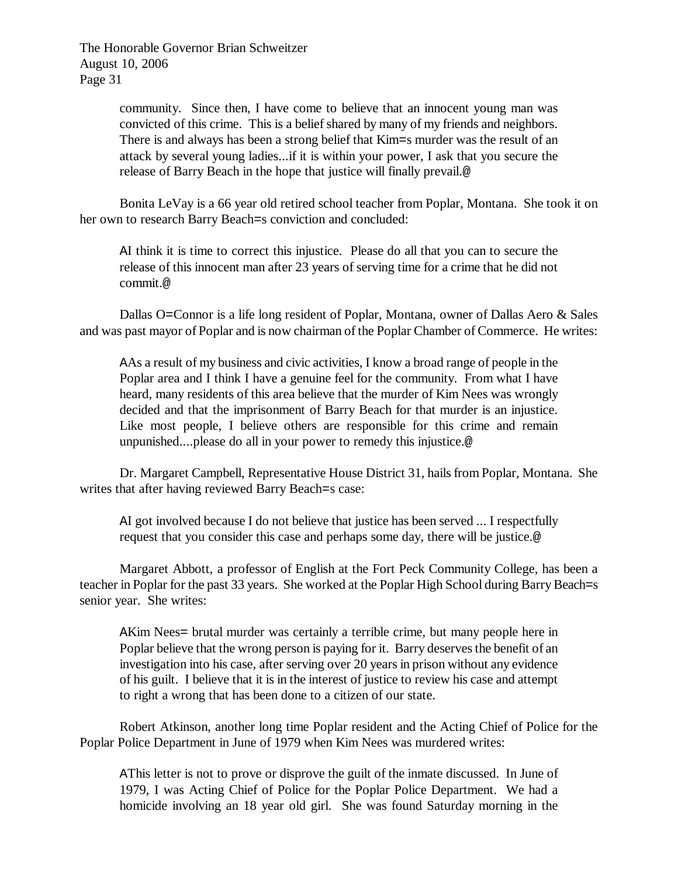> community. Since then, I have come to believe that an innocent young man was convicted of this crime. This is a belief shared by many of my friends and neighbors. There is and always has been a strong belief that Kim=s murder was the result of an attack by several young ladies...if it is within your power, I ask that you secure the release of Barry Beach in the hope that justice will finally prevail.@

Bonita LeVay is a 66 year old retired school teacher from Poplar, Montana. She took it on her own to research Barry Beach=s conviction and concluded:

AI think it is time to correct this injustice. Please do all that you can to secure the release of this innocent man after 23 years of serving time for a crime that he did not commit.@

Dallas O=Connor is a life long resident of Poplar, Montana, owner of Dallas Aero & Sales and was past mayor of Poplar and is now chairman of the Poplar Chamber of Commerce. He writes:

AAs a result of my business and civic activities, I know a broad range of people in the Poplar area and I think I have a genuine feel for the community. From what I have heard, many residents of this area believe that the murder of Kim Nees was wrongly decided and that the imprisonment of Barry Beach for that murder is an injustice. Like most people, I believe others are responsible for this crime and remain unpunished....please do all in your power to remedy this injustice.@

Dr. Margaret Campbell, Representative House District 31, hails from Poplar, Montana. She writes that after having reviewed Barry Beach=s case:

AI got involved because I do not believe that justice has been served ... I respectfully request that you consider this case and perhaps some day, there will be justice.@

Margaret Abbott, a professor of English at the Fort Peck Community College, has been a teacher in Poplar for the past 33 years. She worked at the Poplar High School during Barry Beach=s senior year. She writes:

AKim Nees= brutal murder was certainly a terrible crime, but many people here in Poplar believe that the wrong person is paying for it. Barry deserves the benefit of an investigation into his case, after serving over 20 years in prison without any evidence of his guilt. I believe that it is in the interest of justice to review his case and attempt to right a wrong that has been done to a citizen of our state.

Robert Atkinson, another long time Poplar resident and the Acting Chief of Police for the Poplar Police Department in June of 1979 when Kim Nees was murdered writes:

AThis letter is not to prove or disprove the guilt of the inmate discussed. In June of 1979, I was Acting Chief of Police for the Poplar Police Department. We had a homicide involving an 18 year old girl. She was found Saturday morning in the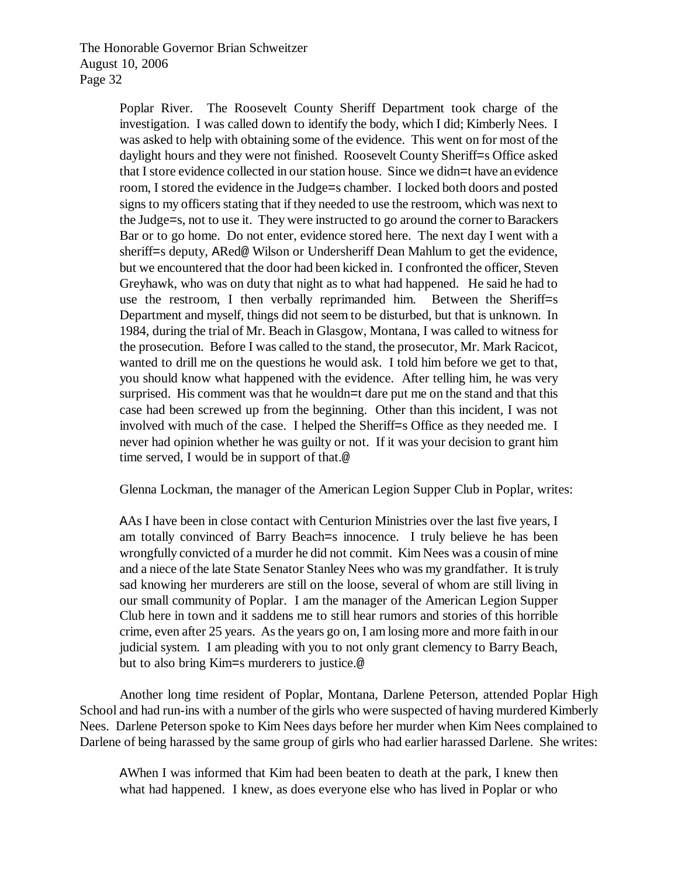> Poplar River. The Roosevelt County Sheriff Department took charge of the investigation. I was called down to identify the body, which I did; Kimberly Nees. I was asked to help with obtaining some of the evidence. This went on for most of the daylight hours and they were not finished. Roosevelt County Sheriff=s Office asked that I store evidence collected in our station house. Since we didn=t have an evidence room, I stored the evidence in the Judge=s chamber. I locked both doors and posted signs to my officers stating that if they needed to use the restroom, which was next to the Judge=s, not to use it. They were instructed to go around the corner to Barackers Bar or to go home. Do not enter, evidence stored here. The next day I went with a sheriff=s deputy, ARed@ Wilson or Undersheriff Dean Mahlum to get the evidence, but we encountered that the door had been kicked in. I confronted the officer, Steven Greyhawk, who was on duty that night as to what had happened. He said he had to use the restroom, I then verbally reprimanded him. Between the Sheriff=s Department and myself, things did not seem to be disturbed, but that is unknown. In 1984, during the trial of Mr. Beach in Glasgow, Montana, I was called to witness for the prosecution. Before I was called to the stand, the prosecutor, Mr. Mark Racicot, wanted to drill me on the questions he would ask. I told him before we get to that, you should know what happened with the evidence. After telling him, he was very surprised. His comment was that he wouldn=t dare put me on the stand and that this case had been screwed up from the beginning. Other than this incident, I was not involved with much of the case. I helped the Sheriff=s Office as they needed me. I never had opinion whether he was guilty or not. If it was your decision to grant him time served, I would be in support of that.@

Glenna Lockman, the manager of the American Legion Supper Club in Poplar, writes:

AAs I have been in close contact with Centurion Ministries over the last five years, I am totally convinced of Barry Beach=s innocence. I truly believe he has been wrongfully convicted of a murder he did not commit. Kim Nees was a cousin of mine and a niece of the late State Senator Stanley Nees who was my grandfather. It is truly sad knowing her murderers are still on the loose, several of whom are still living in our small community of Poplar. I am the manager of the American Legion Supper Club here in town and it saddens me to still hear rumors and stories of this horrible crime, even after 25 years. As the years go on, I am losing more and more faith in our judicial system. I am pleading with you to not only grant clemency to Barry Beach, but to also bring Kim=s murderers to justice.@

Another long time resident of Poplar, Montana, Darlene Peterson, attended Poplar High School and had run-ins with a number of the girls who were suspected of having murdered Kimberly Nees. Darlene Peterson spoke to Kim Nees days before her murder when Kim Nees complained to Darlene of being harassed by the same group of girls who had earlier harassed Darlene. She writes:

AWhen I was informed that Kim had been beaten to death at the park, I knew then what had happened. I knew, as does everyone else who has lived in Poplar or who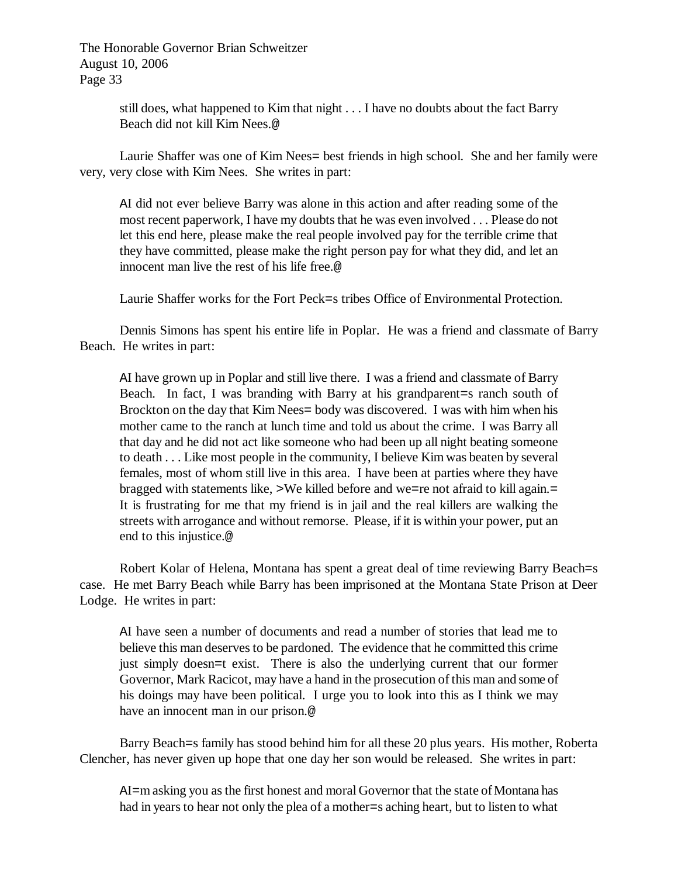> still does, what happened to Kim that night . . . I have no doubts about the fact Barry Beach did not kill Kim Nees.@

Laurie Shaffer was one of Kim Nees= best friends in high school. She and her family were very, very close with Kim Nees. She writes in part:

AI did not ever believe Barry was alone in this action and after reading some of the most recent paperwork, I have my doubts that he was even involved . . . Please do not let this end here, please make the real people involved pay for the terrible crime that they have committed, please make the right person pay for what they did, and let an innocent man live the rest of his life free.@

Laurie Shaffer works for the Fort Peck=s tribes Office of Environmental Protection.

Dennis Simons has spent his entire life in Poplar. He was a friend and classmate of Barry Beach. He writes in part:

AI have grown up in Poplar and still live there. I was a friend and classmate of Barry Beach. In fact, I was branding with Barry at his grandparent=s ranch south of Brockton on the day that Kim Nees= body was discovered. I was with him when his mother came to the ranch at lunch time and told us about the crime. I was Barry all that day and he did not act like someone who had been up all night beating someone to death . . . Like most people in the community, I believe Kim was beaten by several females, most of whom still live in this area. I have been at parties where they have bragged with statements like, >We killed before and we=re not afraid to kill again.= It is frustrating for me that my friend is in jail and the real killers are walking the streets with arrogance and without remorse. Please, if it is within your power, put an end to this injustice.@

Robert Kolar of Helena, Montana has spent a great deal of time reviewing Barry Beach=s case. He met Barry Beach while Barry has been imprisoned at the Montana State Prison at Deer Lodge. He writes in part:

AI have seen a number of documents and read a number of stories that lead me to believe this man deserves to be pardoned. The evidence that he committed this crime just simply doesn=t exist. There is also the underlying current that our former Governor, Mark Racicot, may have a hand in the prosecution of this man and some of his doings may have been political. I urge you to look into this as I think we may have an innocent man in our prison.@

Barry Beach=s family has stood behind him for all these 20 plus years. His mother, Roberta Clencher, has never given up hope that one day her son would be released. She writes in part:

AI=m asking you as the first honest and moral Governor that the state of Montana has had in years to hear not only the plea of a mother=s aching heart, but to listen to what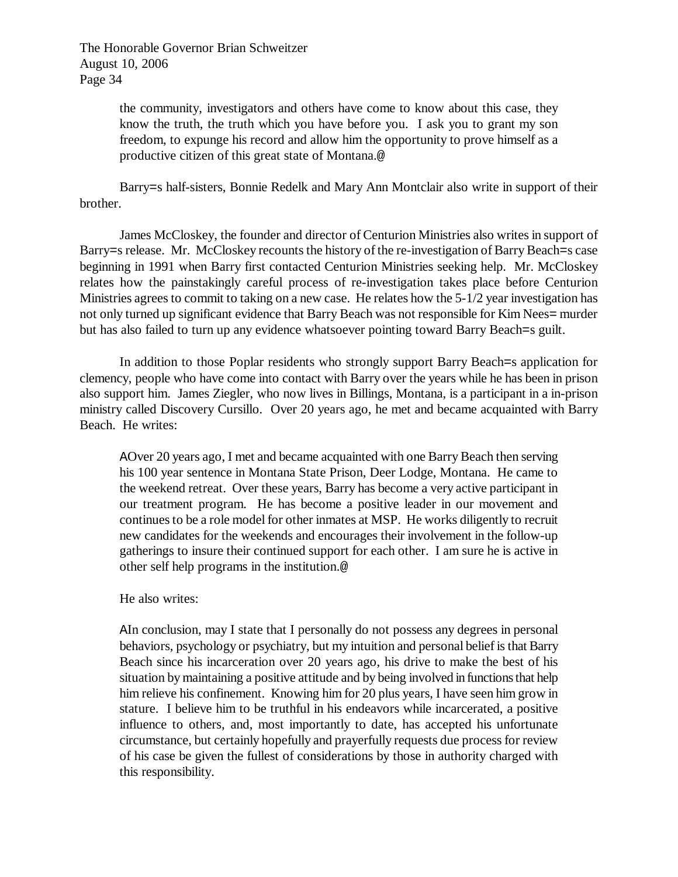> the community, investigators and others have come to know about this case, they know the truth, the truth which you have before you. I ask you to grant my son freedom, to expunge his record and allow him the opportunity to prove himself as a productive citizen of this great state of Montana.@

Barry=s half-sisters, Bonnie Redelk and Mary Ann Montclair also write in support of their brother.

James McCloskey, the founder and director of Centurion Ministries also writes in support of Barry=s release. Mr. McCloskey recounts the history of the re-investigation of Barry Beach=s case beginning in 1991 when Barry first contacted Centurion Ministries seeking help. Mr. McCloskey relates how the painstakingly careful process of re-investigation takes place before Centurion Ministries agrees to commit to taking on a new case. He relates how the 5-1/2 year investigation has not only turned up significant evidence that Barry Beach was not responsible for Kim Nees= murder but has also failed to turn up any evidence whatsoever pointing toward Barry Beach=s guilt.

In addition to those Poplar residents who strongly support Barry Beach=s application for clemency, people who have come into contact with Barry over the years while he has been in prison also support him. James Ziegler, who now lives in Billings, Montana, is a participant in a in-prison ministry called Discovery Cursillo. Over 20 years ago, he met and became acquainted with Barry Beach. He writes:

AOver 20 years ago, I met and became acquainted with one Barry Beach then serving his 100 year sentence in Montana State Prison, Deer Lodge, Montana. He came to the weekend retreat. Over these years, Barry has become a very active participant in our treatment program. He has become a positive leader in our movement and continues to be a role model for other inmates at MSP. He works diligently to recruit new candidates for the weekends and encourages their involvement in the follow-up gatherings to insure their continued support for each other. I am sure he is active in other self help programs in the institution.@

## He also writes:

AIn conclusion, may I state that I personally do not possess any degrees in personal behaviors, psychology or psychiatry, but my intuition and personal belief is that Barry Beach since his incarceration over 20 years ago, his drive to make the best of his situation by maintaining a positive attitude and by being involved in functions that help him relieve his confinement. Knowing him for 20 plus years, I have seen him grow in stature. I believe him to be truthful in his endeavors while incarcerated, a positive influence to others, and, most importantly to date, has accepted his unfortunate circumstance, but certainly hopefully and prayerfully requests due process for review of his case be given the fullest of considerations by those in authority charged with this responsibility.